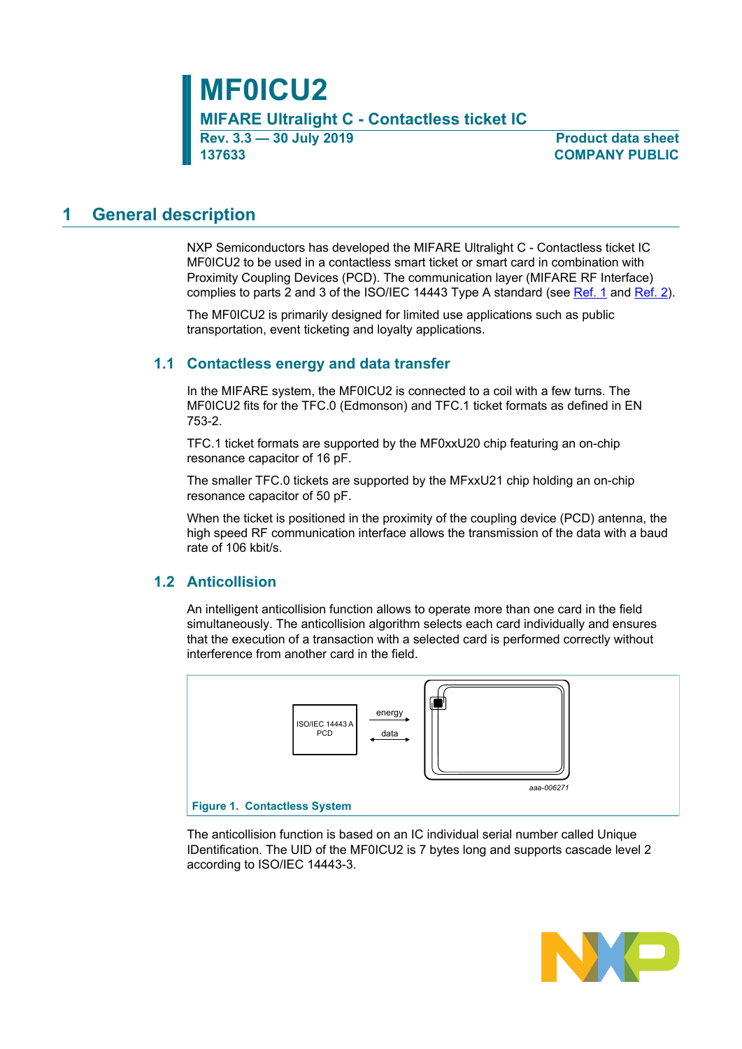**MF0ICU2 MIFARE Ultralight C - Contactless ticket IC Rev. 3.3 — 30 July 2019 Product data sheet**

**137633 COMPANY PUBLIC**

# <span id="page-0-1"></span>**1 General description**

NXP Semiconductors has developed the MIFARE Ultralight C - Contactless ticket IC MF0ICU2 to be used in a contactless smart ticket or smart card in combination with Proximity Coupling Devices (PCD). The communication layer (MIFARE RF Interface) complies to parts 2 and 3 of the ISO/IEC 14443 Type A standard (see [Ref. 1](#page-29-0) and [Ref. 2\)](#page-29-1).

The MF0ICU2 is primarily designed for limited use applications such as public transportation, event ticketing and loyalty applications.

## **1.1 Contactless energy and data transfer**

<span id="page-0-2"></span>In the MIFARE system, the MF0ICU2 is connected to a coil with a few turns. The MF0ICU2 fits for the TFC.0 (Edmonson) and TFC.1 ticket formats as defined in EN 753-2.

TFC.1 ticket formats are supported by the MF0xxU20 chip featuring an on-chip resonance capacitor of 16 pF.

The smaller TFC.0 tickets are supported by the MFxxU21 chip holding an on-chip resonance capacitor of 50 pF.

When the ticket is positioned in the proximity of the coupling device (PCD) antenna, the high speed RF communication interface allows the transmission of the data with a baud rate of 106 kbit/s.

## **1.2 Anticollision**

<span id="page-0-3"></span>An intelligent anticollision function allows to operate more than one card in the field simultaneously. The anticollision algorithm selects each card individually and ensures that the execution of a transaction with a selected card is performed correctly without interference from another card in the field.

<span id="page-0-0"></span>

The anticollision function is based on an IC individual serial number called Unique IDentification. The UID of the MF0ICU2 is 7 bytes long and supports cascade level 2 according to ISO/IEC 14443-3.

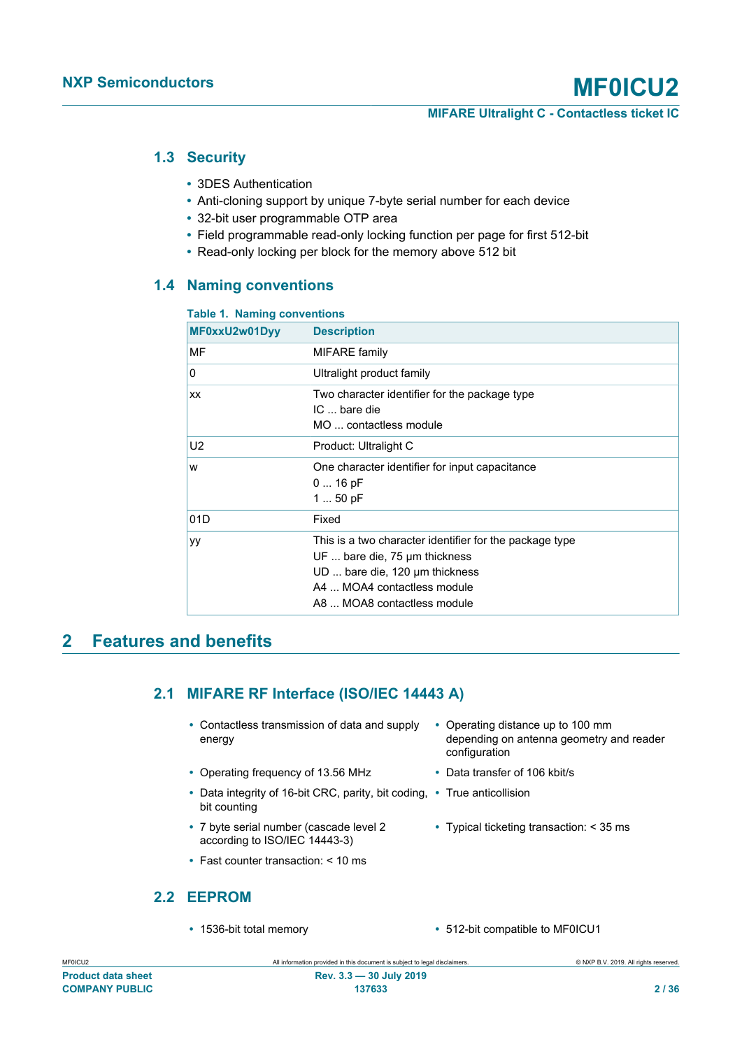# **1.3 Security**

- <span id="page-1-1"></span>**•** 3DES Authentication
- **•** Anti-cloning support by unique 7-byte serial number for each device
- **•** 32-bit user programmable OTP area
- **•** Field programmable read-only locking function per page for first 512-bit
- <span id="page-1-2"></span>**•** Read-only locking per block for the memory above 512 bit

# **1.4 Naming conventions**

#### <span id="page-1-0"></span>**Table 1. Naming conventions**

| MF0xxU2w01Dyy | <b>Description</b>                                                                                                                                                                       |
|---------------|------------------------------------------------------------------------------------------------------------------------------------------------------------------------------------------|
| MF            | <b>MIFARE</b> family                                                                                                                                                                     |
| 0             | Ultralight product family                                                                                                                                                                |
| <b>XX</b>     | Two character identifier for the package type<br>IC  bare die<br>MO  contactless module                                                                                                  |
| U2            | Product: Ultralight C                                                                                                                                                                    |
| W             | One character identifier for input capacitance<br>$016$ pF<br>1  50 pF                                                                                                                   |
| 01D           | Fixed                                                                                                                                                                                    |
| уy            | This is a two character identifier for the package type<br>UF  bare die, 75 µm thickness<br>UD  bare die, 120 µm thickness<br>A4  MOA4 contactless module<br>A8  MOA8 contactless module |

# <span id="page-1-3"></span>**2 Features and benefits**

# <span id="page-1-4"></span>**2.1 MIFARE RF Interface (ISO/IEC 14443 A)**

- **•** Contactless transmission of data and supply energy
- **•** Operating frequency of 13.56 MHz **•** Data transfer of 106 kbit/s
- **•** Data integrity of 16-bit CRC, parity, bit coding, **•** True anticollision bit counting
- **•** 7 byte serial number (cascade level 2 according to ISO/IEC 14443-3)
- <span id="page-1-5"></span>**•** Fast counter transaction: < 10 ms

# **2.2 EEPROM**

- **•** Operating distance up to 100 mm depending on antenna geometry and reader configuration
- 
- 
- **•** Typical ticketing transaction: < 35 ms
- **•** 1536-bit total memory **•** 512-bit compatible to MF0ICU1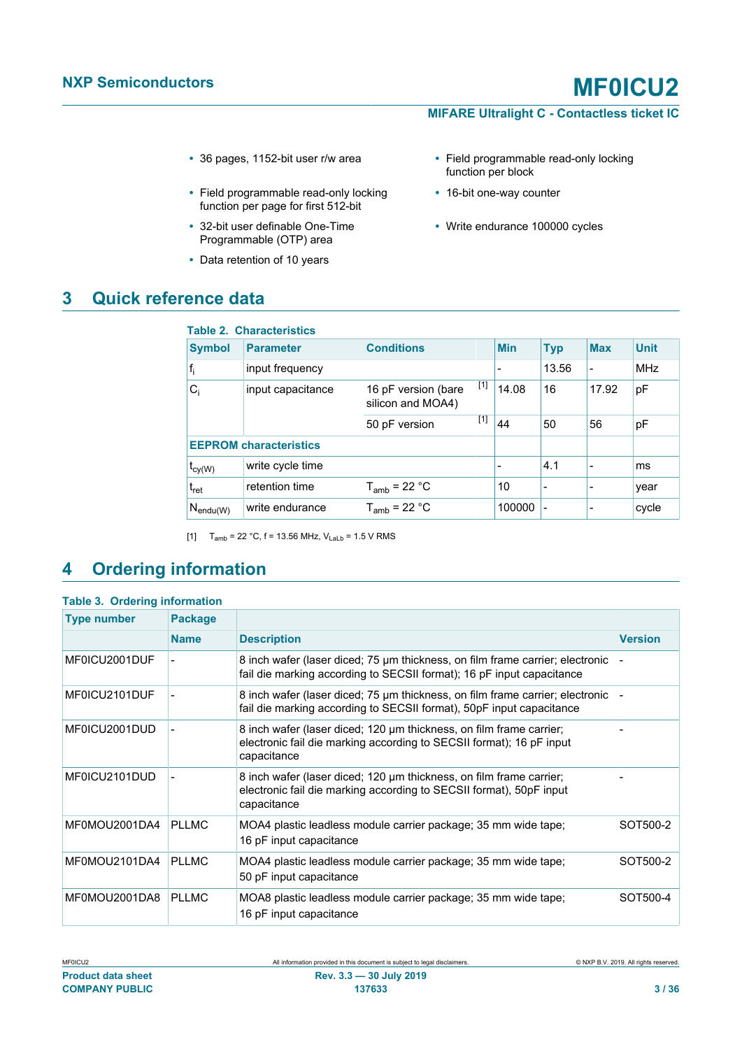- 
- **•** Field programmable read-only locking function per page for first 512-bit
- **•** 32-bit user definable One-Time Programmable (OTP) area
- **•** Data retention of 10 years

# <span id="page-2-3"></span>**3 Quick reference data**

- <span id="page-2-0"></span>**•** 36 pages, 1152-bit user r/w area **•** Field programmable read-only locking function per block
	- **•** 16-bit one-way counter
	- **•** Write endurance 100000 cycles

<span id="page-2-1"></span>

|                               | <b>Table 2. Characteristics</b> |                                          |       |                          |                          |                |             |
|-------------------------------|---------------------------------|------------------------------------------|-------|--------------------------|--------------------------|----------------|-------------|
| <b>Symbol</b>                 | <b>Parameter</b>                | <b>Conditions</b>                        |       | <b>Min</b>               | <b>Typ</b>               | <b>Max</b>     | <b>Unit</b> |
| $f_i$                         | input frequency                 |                                          |       |                          | 13.56                    |                | <b>MHz</b>  |
| $C_i$                         | input capacitance               | 16 pF version (bare<br>silicon and MOA4) | $[1]$ | 14.08                    | 16                       | 17.92          | рF          |
|                               |                                 | 50 pF version                            | $[1]$ | 44                       | 50                       | 56             | pF          |
| <b>EEPROM characteristics</b> |                                 |                                          |       |                          |                          |                |             |
| $t_{cy(W)}$                   | write cycle time                |                                          |       | $\overline{\phantom{0}}$ | 4.1                      | $\overline{a}$ | ms          |
| $t_{\rm ret}$                 | retention time                  | $T_{amb}$ = 22 °C                        |       | 10                       | $\overline{\phantom{0}}$ | $\blacksquare$ | year        |
| $N_{\text{endu}(W)}$          | write endurance                 | $T_{amb}$ = 22 °C                        |       | 100000                   |                          | $\blacksquare$ | cycle       |

<span id="page-2-2"></span>[1]  $T_{amb} = 22 °C$ , f = 13.56 MHz,  $V_{Lab} = 1.5 V$  RMS

# <span id="page-2-4"></span>**4 Ordering information**

| <b>Table 3. Ordering information</b> |
|--------------------------------------|
|--------------------------------------|

| <b>Type number</b> | <b>Package</b> |                                                                                                                                                            |                |
|--------------------|----------------|------------------------------------------------------------------------------------------------------------------------------------------------------------|----------------|
|                    | <b>Name</b>    | <b>Description</b>                                                                                                                                         | <b>Version</b> |
| MF0ICU2001DUF      |                | 8 inch wafer (laser diced; 75 µm thickness, on film frame carrier; electronic<br>fail die marking according to SECSII format); 16 pF input capacitance     |                |
| MF0ICU2101DUF      |                | 8 inch wafer (laser diced; 75 µm thickness, on film frame carrier; electronic<br>fail die marking according to SECSII format), 50pF input capacitance      |                |
| MF0ICU2001DUD      |                | 8 inch wafer (laser diced; 120 µm thickness, on film frame carrier;<br>electronic fail die marking according to SECSII format); 16 pF input<br>capacitance |                |
| MF0ICU2101DUD      |                | 8 inch wafer (laser diced; 120 µm thickness, on film frame carrier;<br>electronic fail die marking according to SECSII format), 50pF input<br>capacitance  |                |
| MF0MOU2001DA4      | <b>PLLMC</b>   | MOA4 plastic leadless module carrier package; 35 mm wide tape;<br>16 pF input capacitance                                                                  | SOT500-2       |
| MF0MOU2101DA4      | <b>PLLMC</b>   | MOA4 plastic leadless module carrier package; 35 mm wide tape;<br>50 pF input capacitance                                                                  | SOT500-2       |
| MF0MOU2001DA8      | <b>PLLMC</b>   | MOA8 plastic leadless module carrier package; 35 mm wide tape;<br>16 pF input capacitance                                                                  | SOT500-4       |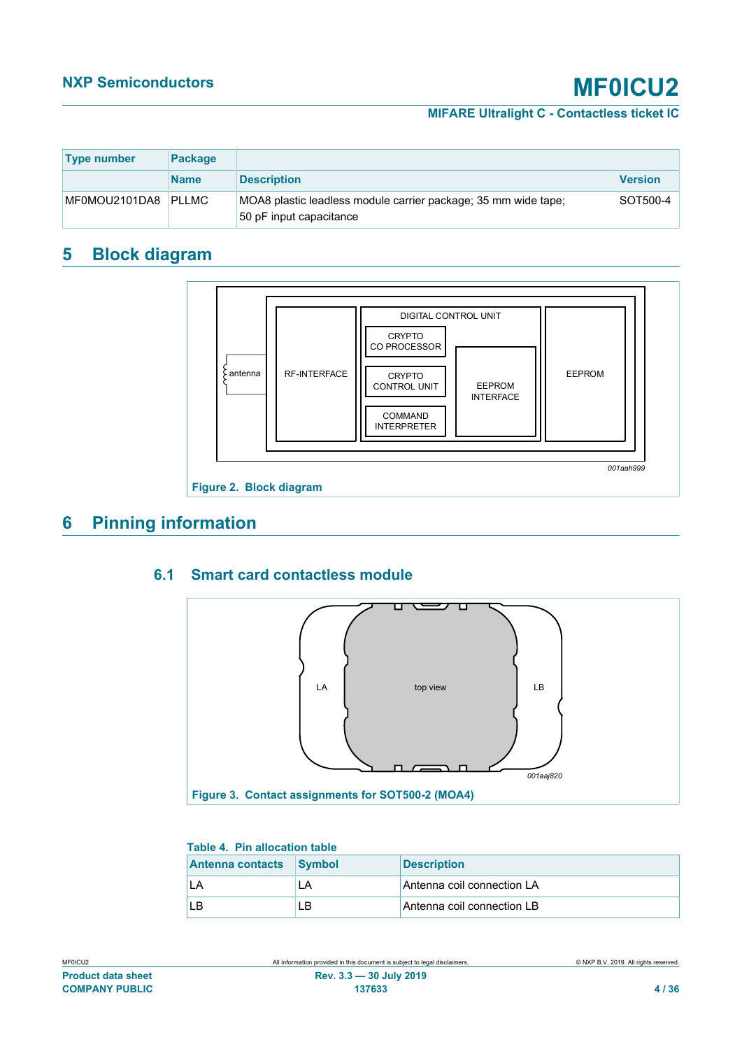## **MIFARE Ultralight C - Contactless ticket IC**

| <b>Type number</b> | <b>Package</b> |                                                                                           |                 |
|--------------------|----------------|-------------------------------------------------------------------------------------------|-----------------|
|                    | <b>Name</b>    | <b>Description</b>                                                                        | <b>Version</b>  |
| MF0MOU2101DA8      | <b>PIIMC</b>   | MOA8 plastic leadless module carrier package; 35 mm wide tape;<br>50 pF input capacitance | <b>SOT500-4</b> |

# <span id="page-3-3"></span>**5 Block diagram**

<span id="page-3-1"></span>

# <span id="page-3-4"></span>**6 Pinning information**

# **6.1 Smart card contactless module**

<span id="page-3-5"></span><span id="page-3-2"></span>

#### <span id="page-3-0"></span>**Table 4. Pin allocation table**

| Antenna contacts Symbol |    | <b>Description</b>         |
|-------------------------|----|----------------------------|
|                         | LA | Antenna coil connection LA |
|                         | LB | Antenna coil connection LB |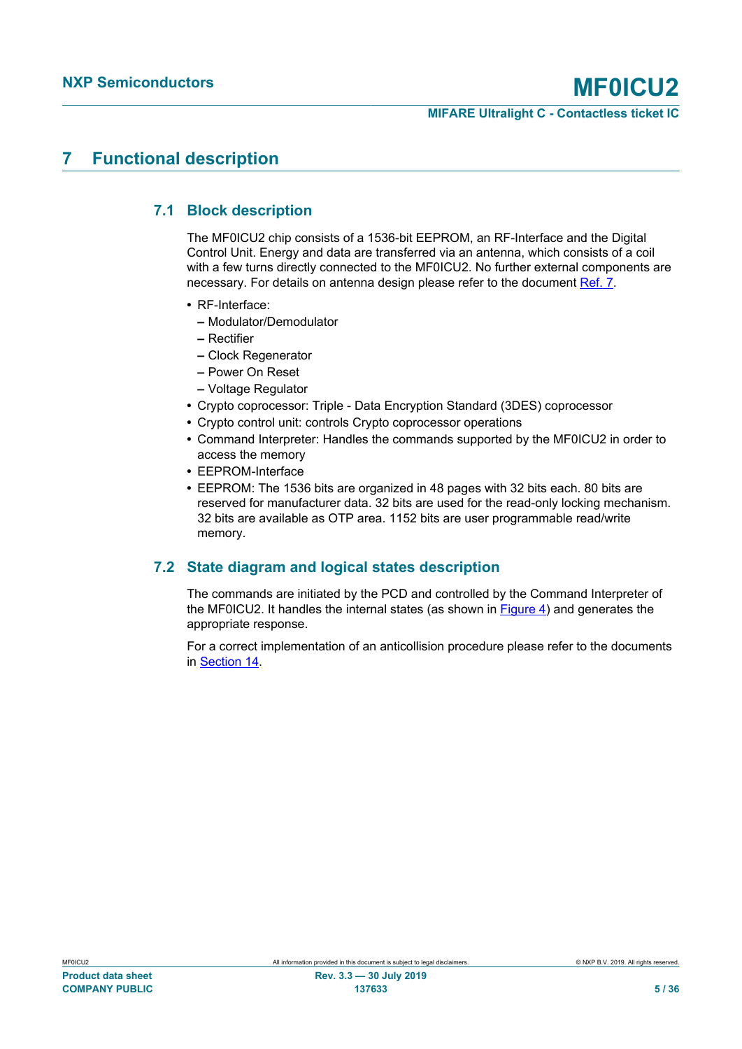# <span id="page-4-0"></span>**7 Functional description**

# **7.1 Block description**

<span id="page-4-1"></span>The MF0ICU2 chip consists of a 1536-bit EEPROM, an RF-Interface and the Digital Control Unit. Energy and data are transferred via an antenna, which consists of a coil with a few turns directly connected to the MF0ICU2. No further external components are necessary. For details on antenna design please refer to the document [Ref. 7](#page-30-0).

- **•** RF-Interface:
	- **–** Modulator/Demodulator
	- **–** Rectifier
	- **–** Clock Regenerator
	- **–** Power On Reset
	- **–** Voltage Regulator
- **•** Crypto coprocessor: Triple Data Encryption Standard (3DES) coprocessor
- **•** Crypto control unit: controls Crypto coprocessor operations
- **•** Command Interpreter: Handles the commands supported by the MF0ICU2 in order to access the memory
- **•** EEPROM-Interface
- **•** EEPROM: The 1536 bits are organized in 48 pages with 32 bits each. 80 bits are reserved for manufacturer data. 32 bits are used for the read-only locking mechanism. 32 bits are available as OTP area. 1152 bits are user programmable read/write memory.

# **7.2 State diagram and logical states description**

<span id="page-4-2"></span>The commands are initiated by the PCD and controlled by the Command Interpreter of the MF0ICU2. It handles the internal states (as shown in [Figure 4](#page-5-0)) and generates the appropriate response.

For a correct implementation of an anticollision procedure please refer to the documents in [Section 14.](#page-29-2)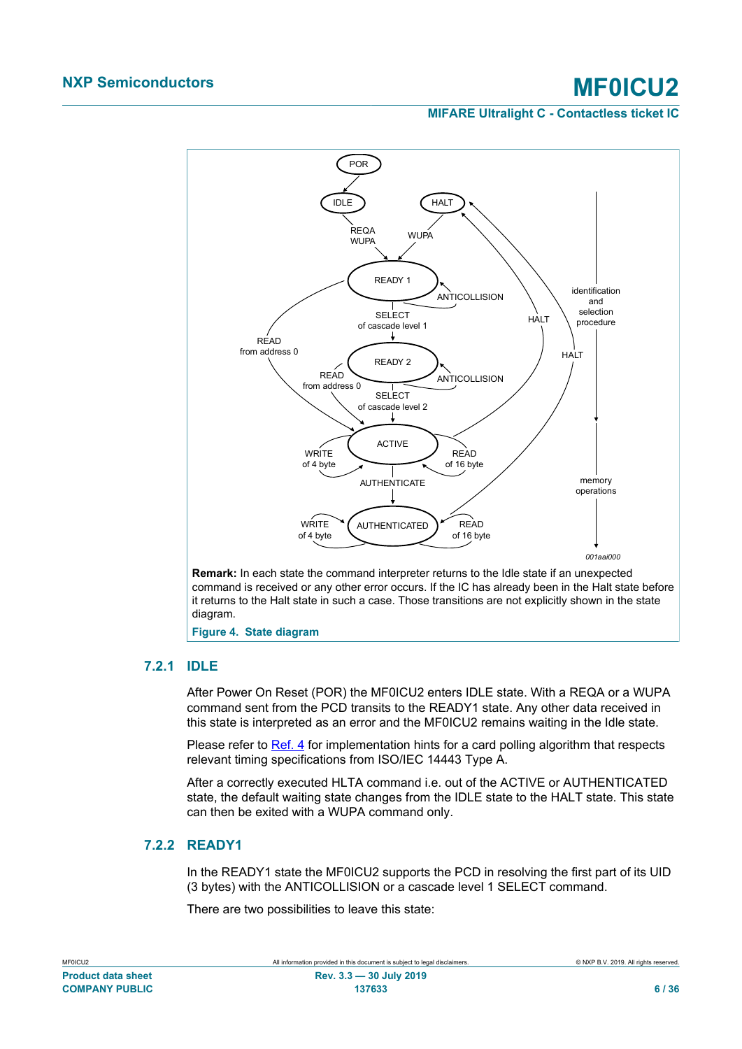<span id="page-5-1"></span>

## **7.2.1 IDLE**

<span id="page-5-2"></span><span id="page-5-0"></span>After Power On Reset (POR) the MF0ICU2 enters IDLE state. With a REQA or a WUPA command sent from the PCD transits to the READY1 state. Any other data received in this state is interpreted as an error and the MF0ICU2 remains waiting in the Idle state.

Please refer to [Ref. 4](#page-29-3) for implementation hints for a card polling algorithm that respects relevant timing specifications from ISO/IEC 14443 Type A.

After a correctly executed HLTA command i.e. out of the ACTIVE or AUTHENTICATED state, the default waiting state changes from the IDLE state to the HALT state. This state can then be exited with a WUPA command only.

# **7.2.2 READY1**

<span id="page-5-3"></span>In the READY1 state the MF0ICU2 supports the PCD in resolving the first part of its UID (3 bytes) with the ANTICOLLISION or a cascade level 1 SELECT command.

There are two possibilities to leave this state:

| MFUICUZ                   |
|---------------------------|
| <b>Product data sheet</b> |
| <b>COMPANY PUBLIC</b>     |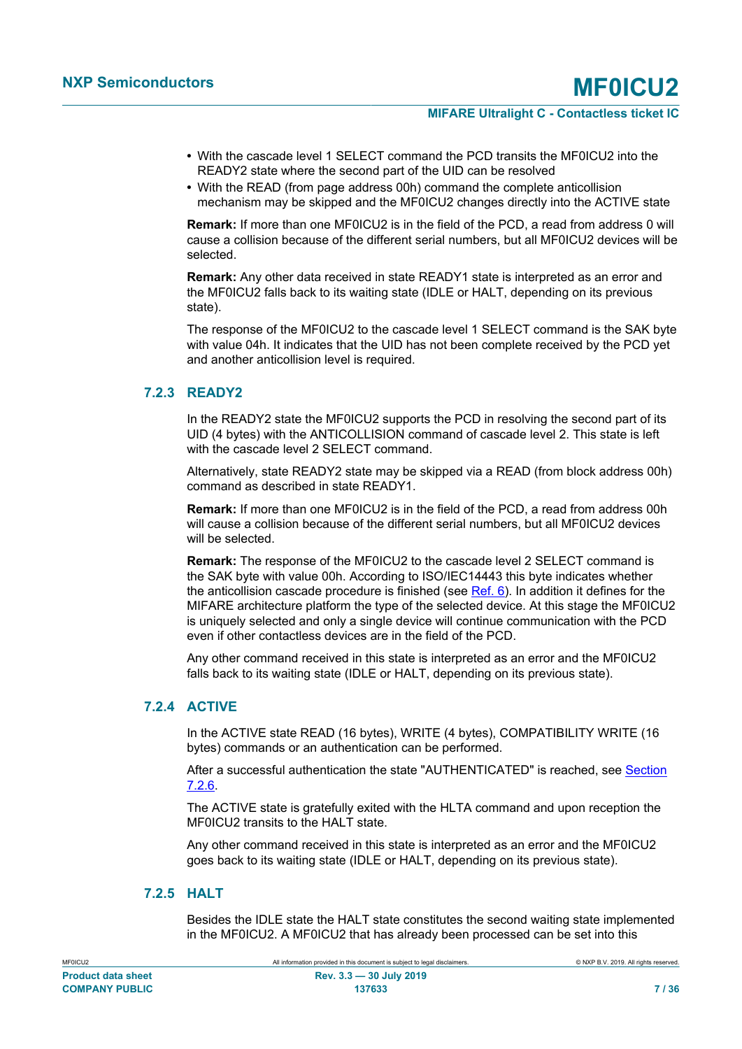- **•** With the cascade level 1 SELECT command the PCD transits the MF0ICU2 into the READY2 state where the second part of the UID can be resolved
- **•** With the READ (from page address 00h) command the complete anticollision mechanism may be skipped and the MF0ICU2 changes directly into the ACTIVE state

**Remark:** If more than one MF0ICU2 is in the field of the PCD, a read from address 0 will cause a collision because of the different serial numbers, but all MF0ICU2 devices will be selected.

**Remark:** Any other data received in state READY1 state is interpreted as an error and the MF0ICU2 falls back to its waiting state (IDLE or HALT, depending on its previous state).

The response of the MF0ICU2 to the cascade level 1 SELECT command is the SAK byte with value 04h. It indicates that the UID has not been complete received by the PCD yet and another anticollision level is required.

# **7.2.3 READY2**

<span id="page-6-0"></span>In the READY2 state the MF0ICU2 supports the PCD in resolving the second part of its UID (4 bytes) with the ANTICOLLISION command of cascade level 2. This state is left with the cascade level 2 SELECT command

Alternatively, state READY2 state may be skipped via a READ (from block address 00h) command as described in state READY1.

**Remark:** If more than one MF0ICU2 is in the field of the PCD, a read from address 00h will cause a collision because of the different serial numbers, but all MF0ICU2 devices will be selected.

**Remark:** The response of the MF0ICU2 to the cascade level 2 SELECT command is the SAK byte with value 00h. According to ISO/IEC14443 this byte indicates whether the anticollision cascade procedure is finished (see  $Ref. 6$ ). In addition it defines for the MIFARE architecture platform the type of the selected device. At this stage the MF0ICU2 is uniquely selected and only a single device will continue communication with the PCD even if other contactless devices are in the field of the PCD.

Any other command received in this state is interpreted as an error and the MF0ICU2 falls back to its waiting state (IDLE or HALT, depending on its previous state).

# **7.2.4 ACTIVE**

<span id="page-6-1"></span>In the ACTIVE state READ (16 bytes), WRITE (4 bytes), COMPATIBILITY WRITE (16 bytes) commands or an authentication can be performed.

After a successful authentication the state "AUTHENTICATED" is reached, see [Section](#page-7-0) [7.2.6](#page-7-0).

The ACTIVE state is gratefully exited with the HLTA command and upon reception the MF0ICU2 transits to the HALT state.

Any other command received in this state is interpreted as an error and the MF0ICU2 goes back to its waiting state (IDLE or HALT, depending on its previous state).

# **7.2.5 HALT**

<span id="page-6-2"></span>Besides the IDLE state the HALT state constitutes the second waiting state implemented in the MF0ICU2. A MF0ICU2 that has already been processed can be set into this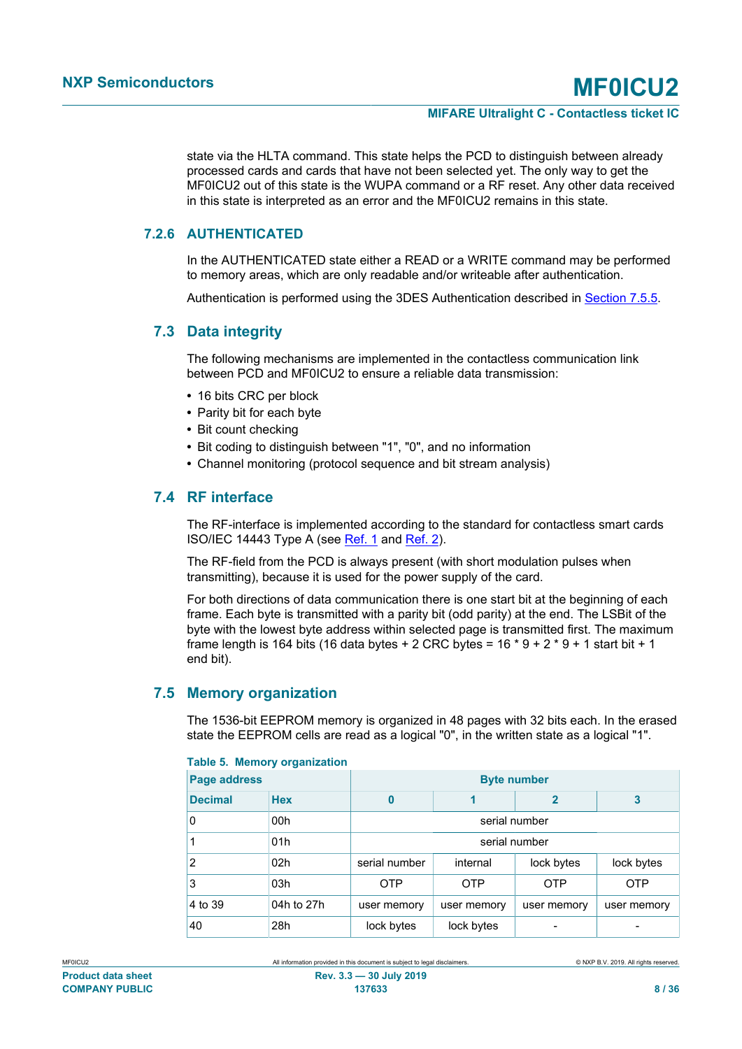state via the HLTA command. This state helps the PCD to distinguish between already processed cards and cards that have not been selected yet. The only way to get the MF0ICU2 out of this state is the WUPA command or a RF reset. Any other data received in this state is interpreted as an error and the MF0ICU2 remains in this state.

## **7.2.6 AUTHENTICATED**

<span id="page-7-0"></span>In the AUTHENTICATED state either a READ or a WRITE command may be performed to memory areas, which are only readable and/or writeable after authentication.

<span id="page-7-3"></span>Authentication is performed using the 3DES Authentication described in [Section 7.5.5.](#page-11-0)

## **7.3 Data integrity**

The following mechanisms are implemented in the contactless communication link between PCD and MF0ICU2 to ensure a reliable data transmission:

- **•** 16 bits CRC per block
- **•** Parity bit for each byte
- **•** Bit count checking
- **•** Bit coding to distinguish between "1", "0", and no information
- <span id="page-7-4"></span>**•** Channel monitoring (protocol sequence and bit stream analysis)

## **7.4 RF interface**

The RF-interface is implemented according to the standard for contactless smart cards ISO/IEC 14443 Type A (see [Ref. 1](#page-29-0) and [Ref. 2](#page-29-1)).

The RF-field from the PCD is always present (with short modulation pulses when transmitting), because it is used for the power supply of the card.

For both directions of data communication there is one start bit at the beginning of each frame. Each byte is transmitted with a parity bit (odd parity) at the end. The LSBit of the byte with the lowest byte address within selected page is transmitted first. The maximum frame length is 164 bits (16 data bytes + 2 CRC bytes =  $16 * 9 + 2 * 9 + 1$  start bit + 1 end bit).

# **7.5 Memory organization**

<span id="page-7-5"></span>The 1536-bit EEPROM memory is organized in 48 pages with 32 bits each. In the erased state the EEPROM cells are read as a logical "0", in the written state as a logical "1".

| Page address   |                 | <b>Byte number</b> |               |             |             |
|----------------|-----------------|--------------------|---------------|-------------|-------------|
| <b>Decimal</b> | <b>Hex</b>      | 0                  |               | 2           | 3           |
| 0              | 00 <sub>h</sub> |                    | serial number |             |             |
| 1              | 01h             |                    | serial number |             |             |
| 2              | 02 <sub>h</sub> | serial number      | internal      | lock bytes  | lock bytes  |
| 3              | 03h             | <b>OTP</b>         | <b>OTP</b>    | <b>OTP</b>  | <b>OTP</b>  |
| 4 to 39        | 04h to 27h      | user memory        | user memory   | user memory | user memory |
| 40             | 28h             | lock bytes         | lock bytes    |             |             |

#### <span id="page-7-2"></span><span id="page-7-1"></span>**Table 5. Memory organization**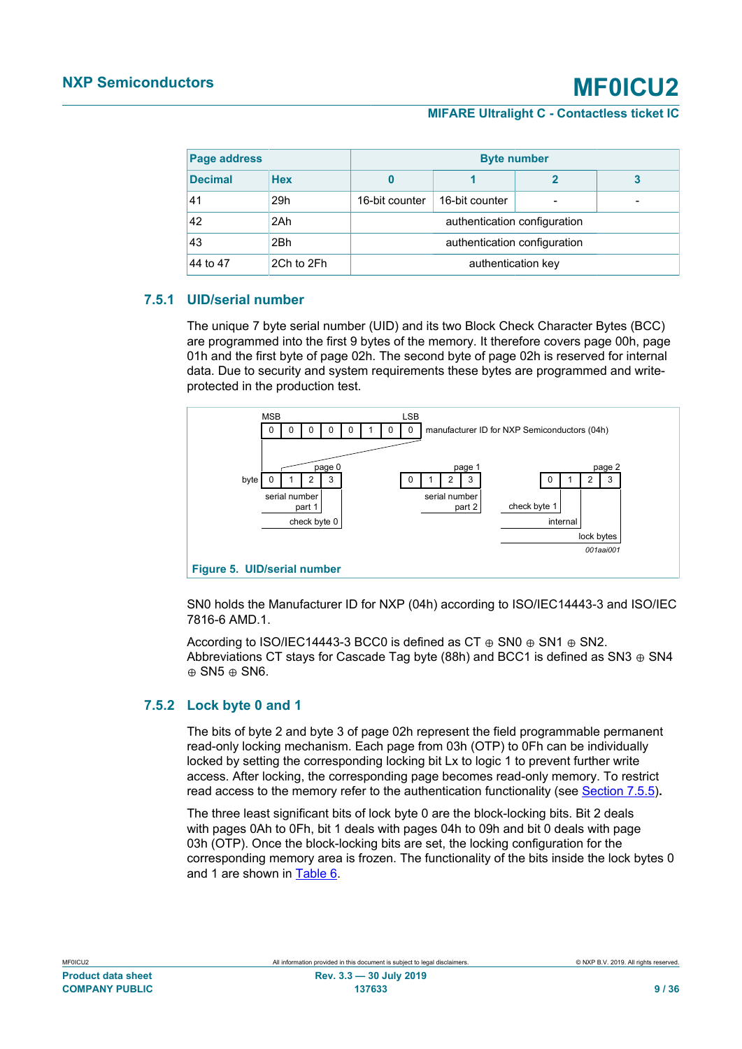| Page address   |            |                              | <b>Byte number</b>           |  |  |
|----------------|------------|------------------------------|------------------------------|--|--|
| <b>Decimal</b> | <b>Hex</b> |                              |                              |  |  |
| 41             | 29h        | 16-bit counter               | 16-bit counter               |  |  |
| 42             | 2Ah        |                              | authentication configuration |  |  |
| 43             | 2Bh        | authentication configuration |                              |  |  |
| 44 to 47       | 2Ch to 2Fh | authentication key           |                              |  |  |

# **7.5.1 UID/serial number**

<span id="page-8-2"></span>The unique 7 byte serial number (UID) and its two Block Check Character Bytes (BCC) are programmed into the first 9 bytes of the memory. It therefore covers page 00h, page 01h and the first byte of page 02h. The second byte of page 02h is reserved for internal data. Due to security and system requirements these bytes are programmed and writeprotected in the production test.

<span id="page-8-1"></span>

SN0 holds the Manufacturer ID for NXP (04h) according to ISO/IEC14443-3 and ISO/IEC 7816-6 AMD.1.

According to ISO/IEC14443-3 BCC0 is defined as CT  $\oplus$  SN0  $\oplus$  SN1  $\oplus$  SN2. Abbreviations CT stays for Cascade Tag byte (88h) and BCC1 is defined as SN3  $\oplus$  SN4 ⊕ SN5 ⊕ SN6.

## **7.5.2 Lock byte 0 and 1**

<span id="page-8-0"></span>The bits of byte 2 and byte 3 of page 02h represent the field programmable permanent read-only locking mechanism. Each page from 03h (OTP) to 0Fh can be individually locked by setting the corresponding locking bit Lx to logic 1 to prevent further write access. After locking, the corresponding page becomes read-only memory. To restrict read access to the memory refer to the authentication functionality (see [Section 7.5.5](#page-11-0))**.**

The three least significant bits of lock byte 0 are the block-locking bits. Bit 2 deals with pages 0Ah to 0Fh, bit 1 deals with pages 04h to 09h and bit 0 deals with page 03h (OTP). Once the block-locking bits are set, the locking configuration for the corresponding memory area is frozen. The functionality of the bits inside the lock bytes 0 and 1 are shown in [Table 6.](#page-9-0)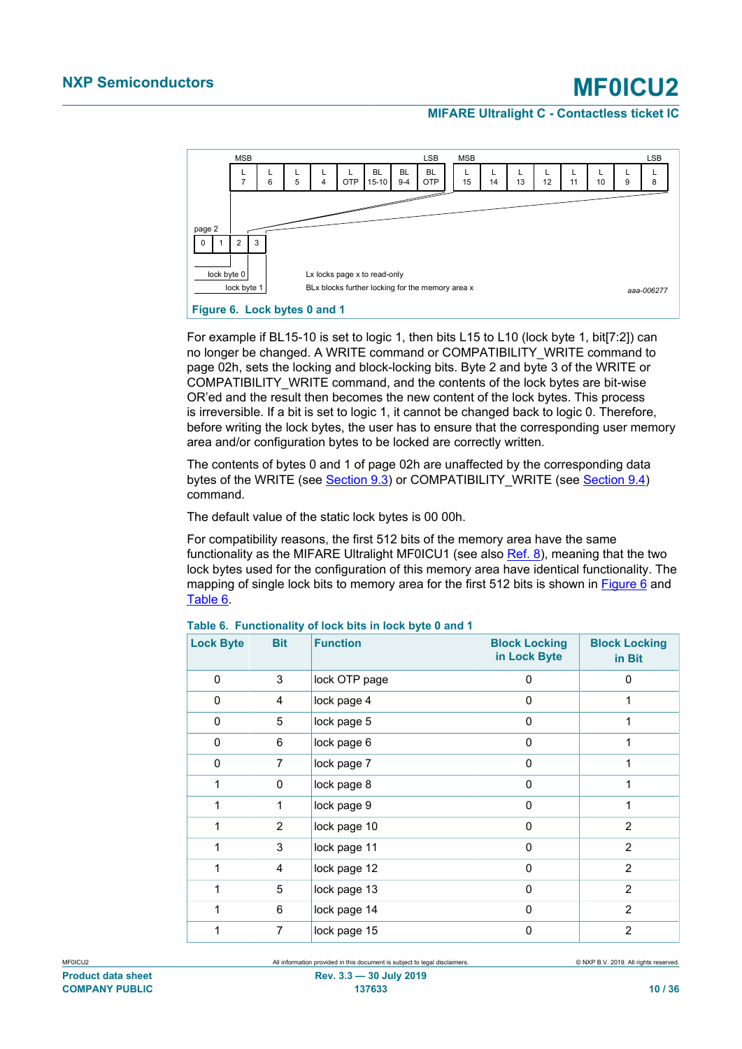<span id="page-9-3"></span>

<span id="page-9-1"></span>For example if BL15-10 is set to logic 1, then bits L15 to L10 (lock byte 1, bit[7:2]) can no longer be changed. A WRITE command or COMPATIBILITY\_WRITE command to page 02h, sets the locking and block-locking bits. Byte 2 and byte 3 of the WRITE or COMPATIBILITY\_WRITE command, and the contents of the lock bytes are bit-wise OR'ed and the result then becomes the new content of the lock bytes. This process is irreversible. If a bit is set to logic 1, it cannot be changed back to logic 0. Therefore, before writing the lock bytes, the user has to ensure that the corresponding user memory area and/or configuration bytes to be locked are correctly written.

The contents of bytes 0 and 1 of page 02h are unaffected by the corresponding data bytes of the WRITE (see [Section 9.3\)](#page-19-0) or COMPATIBILITY\_WRITE (see [Section 9.4](#page-20-0)) command.

The default value of the static lock bytes is 00 00h.

For compatibility reasons, the first 512 bits of the memory area have the same functionality as the MIFARE Ultralight MF0ICU1 (see also [Ref. 8\)](#page-30-2), meaning that the two lock bytes used for the configuration of this memory area have identical functionality. The mapping of single lock bits to memory area for the first 512 bits is shown in [Figure 6](#page-9-1) and [Table 6](#page-9-0).

| <b>Lock Byte</b> | <b>Bit</b>     | <b>Function</b> | <b>Block Locking</b><br>in Lock Byte | <b>Block Locking</b><br>in Bit |
|------------------|----------------|-----------------|--------------------------------------|--------------------------------|
| $\mathbf 0$      | 3              | lock OTP page   | $\Omega$                             | $\Omega$                       |
| 0                | 4              | lock page 4     | 0                                    | 1                              |
| $\mathbf 0$      | 5              | lock page 5     | $\Omega$                             | 1                              |
| 0                | 6              | lock page 6     | 0                                    | 1                              |
| 0                | 7              | lock page 7     | 0                                    | 1                              |
| 1                | 0              | lock page 8     | 0                                    | 1                              |
| 1                | 1              | lock page 9     | 0                                    | 1                              |
| 1                | $\overline{2}$ | lock page 10    | 0                                    | $\overline{2}$                 |
| 1                | 3              | lock page 11    | 0                                    | $\overline{2}$                 |
| 1                | 4              | lock page 12    | $\Omega$                             | 2                              |
| 1                | 5              | lock page 13    | 0                                    | 2                              |
| 1                | 6              | lock page 14    | 0                                    | 2                              |
| 1                | 7              | lock page 15    | 0                                    | 2                              |

#### <span id="page-9-2"></span><span id="page-9-0"></span>**Table 6. Functionality of lock bits in lock byte 0 and 1**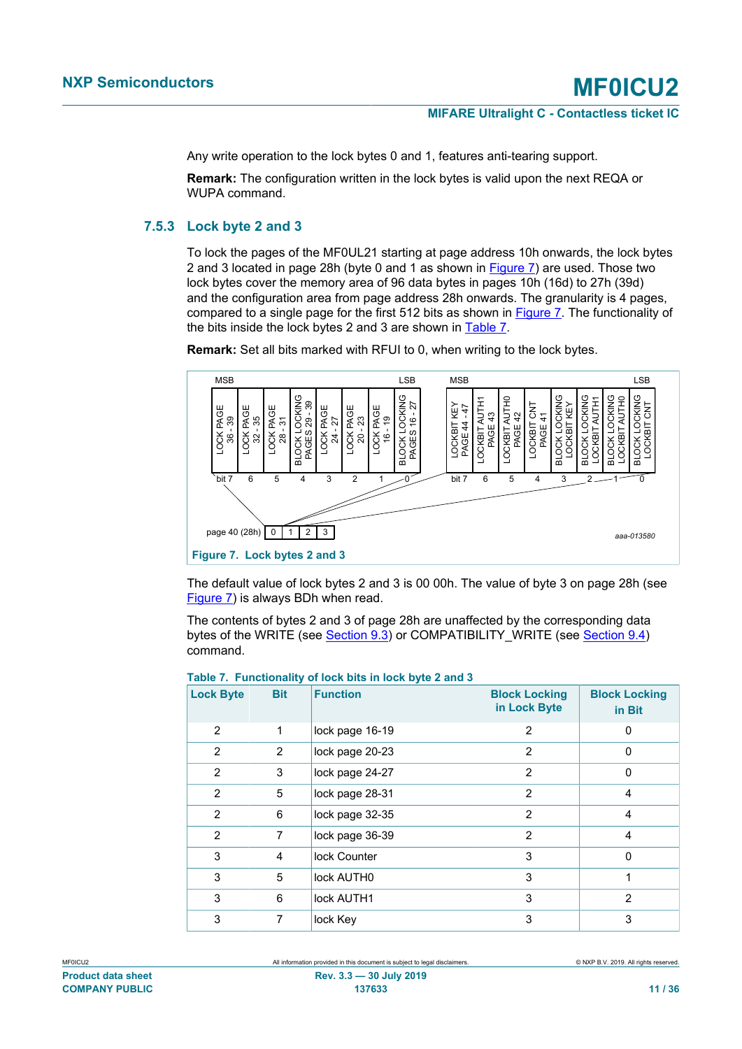Any write operation to the lock bytes 0 and 1, features anti-tearing support.

**Remark:** The configuration written in the lock bytes is valid upon the next REQA or WUPA command.

## **7.5.3 Lock byte 2 and 3**

<span id="page-10-2"></span>To lock the pages of the MF0UL21 starting at page address 10h onwards, the lock bytes 2 and 3 located in page 28h (byte 0 and 1 as shown in [Figure 7](#page-10-0)) are used. Those two lock bytes cover the memory area of 96 data bytes in pages 10h (16d) to 27h (39d) and the configuration area from page address 28h onwards. The granularity is 4 pages, compared to a single page for the first 512 bits as shown in [Figure 7](#page-10-0). The functionality of the bits inside the lock bytes 2 and 3 are shown in [Table 7.](#page-10-1)

**Remark:** Set all bits marked with RFUI to 0, when writing to the lock bytes.

<span id="page-10-4"></span>

<span id="page-10-0"></span>The default value of lock bytes 2 and 3 is 00 00h. The value of byte 3 on page 28h (see [Figure 7\)](#page-10-0) is always BDh when read.

The contents of bytes 2 and 3 of page 28h are unaffected by the corresponding data bytes of the WRITE (see [Section 9.3\)](#page-19-0) or COMPATIBILITY\_WRITE (see [Section 9.4](#page-20-0)) command.

| <b>Lock Byte</b> | <b>Bit</b> | <b>Function</b> | <b>Block Locking</b><br>in Lock Byte | <b>Block Locking</b><br>in Bit |
|------------------|------------|-----------------|--------------------------------------|--------------------------------|
| 2                | 1          | lock page 16-19 | 2                                    | 0                              |
| 2                | 2          | lock page 20-23 | 2                                    | 0                              |
| 2                | 3          | lock page 24-27 | 2                                    | 0                              |
| 2                | 5          | lock page 28-31 | 2                                    | 4                              |
| $\mathfrak{p}$   | 6          | lock page 32-35 | 2                                    | 4                              |
| 2                | 7          | lock page 36-39 | 2                                    | 4                              |
| 3                | 4          | lock Counter    | 3                                    | $\Omega$                       |
| 3                | 5          | lock AUTH0      | 3                                    | 1                              |
| 3                | 6          | lock AUTH1      | 3                                    | 2                              |
| 3                | 7          | lock Key        | 3                                    | 3                              |

#### <span id="page-10-3"></span><span id="page-10-1"></span>**Table 7. Functionality of lock bits in lock byte 2 and 3**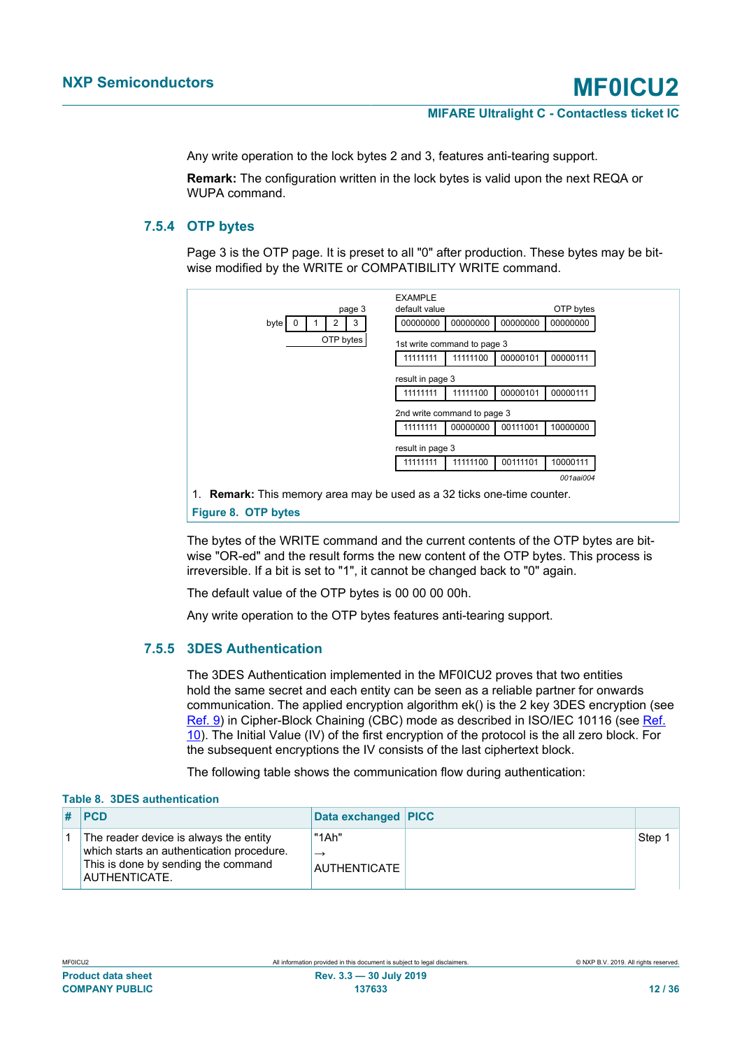Any write operation to the lock bytes 2 and 3, features anti-tearing support.

**Remark:** The configuration written in the lock bytes is valid upon the next REQA or WUPA command.

## **7.5.4 OTP bytes**

<span id="page-11-3"></span>Page 3 is the OTP page. It is preset to all "0" after production. These bytes may be bitwise modified by the WRITE or COMPATIBILITY WRITE command.

<span id="page-11-2"></span>

The bytes of the WRITE command and the current contents of the OTP bytes are bitwise "OR-ed" and the result forms the new content of the OTP bytes. This process is irreversible. If a bit is set to "1", it cannot be changed back to "0" again.

The default value of the OTP bytes is 00 00 00 00h.

<span id="page-11-0"></span>Any write operation to the OTP bytes features anti-tearing support.

### **7.5.5 3DES Authentication**

The 3DES Authentication implemented in the MF0ICU2 proves that two entities hold the same secret and each entity can be seen as a reliable partner for onwards communication. The applied encryption algorithm ek() is the 2 key 3DES encryption (see [Ref. 9\)](#page-30-3) in Cipher-Block Chaining (CBC) mode as described in ISO/IEC 10116 (see [Ref.](#page-30-4) [10](#page-30-4)). The Initial Value (IV) of the first encryption of the protocol is the all zero block. For the subsequent encryptions the IV consists of the last ciphertext block.

<span id="page-11-1"></span>The following table shows the communication flow during authentication:

#### **Table 8. 3DES authentication**

| PCD                                                                                                                                         | Data exchanged PICC                    |      |
|---------------------------------------------------------------------------------------------------------------------------------------------|----------------------------------------|------|
| The reader device is always the entity<br>which starts an authentication procedure.<br>This is done by sending the command<br>AUTHENTICATE. | "1Ah"<br>$\rightarrow$<br>AUTHENTICATE | Step |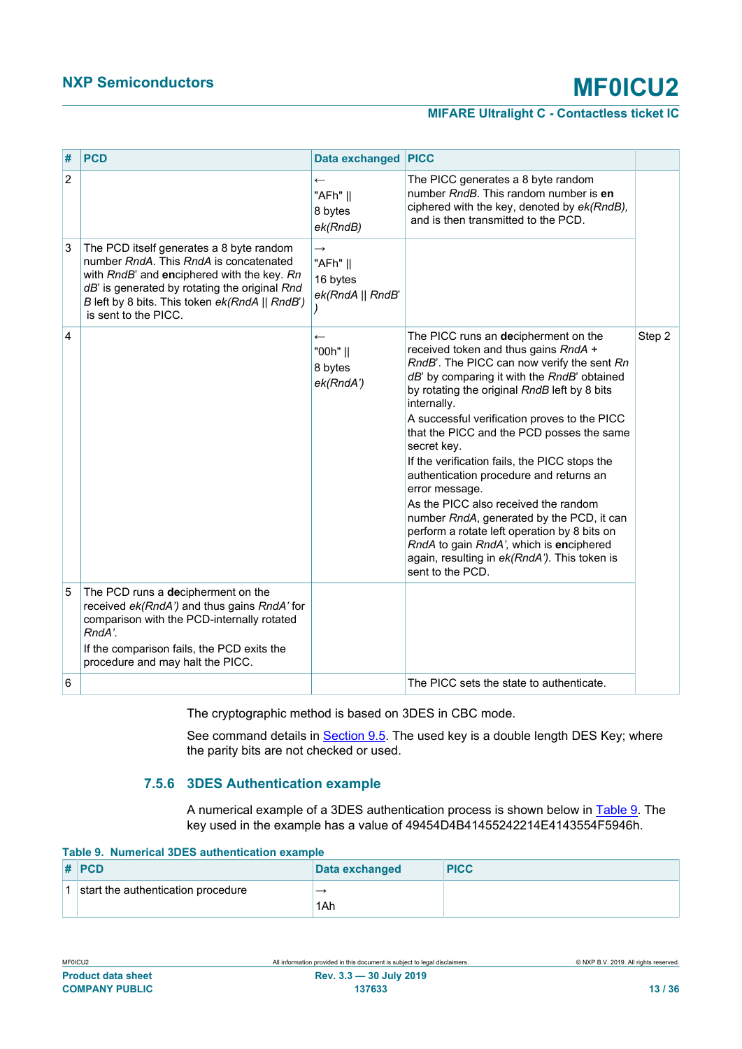## **MIFARE Ultralight C - Contactless ticket IC**

| #              | <b>PCD</b>                                                                                                                                                                                                                                                  | Data exchanged PICC                                       |                                                                                                                                                                                                                                                                                                                                                                                                                                                                                                                                                                                                                                                                                                                        |        |
|----------------|-------------------------------------------------------------------------------------------------------------------------------------------------------------------------------------------------------------------------------------------------------------|-----------------------------------------------------------|------------------------------------------------------------------------------------------------------------------------------------------------------------------------------------------------------------------------------------------------------------------------------------------------------------------------------------------------------------------------------------------------------------------------------------------------------------------------------------------------------------------------------------------------------------------------------------------------------------------------------------------------------------------------------------------------------------------------|--------|
| $\overline{2}$ |                                                                                                                                                                                                                                                             | $\leftarrow$<br>"AFh"   <br>8 bytes<br>ek(RndB)           | The PICC generates a 8 byte random<br>number RndB. This random number is en<br>ciphered with the key, denoted by ek(RndB),<br>and is then transmitted to the PCD.                                                                                                                                                                                                                                                                                                                                                                                                                                                                                                                                                      |        |
| $\sqrt{3}$     | The PCD itself generates a 8 byte random<br>number RndA. This RndA is concatenated<br>with RndB' and enciphered with the key. Rn<br>dB' is generated by rotating the original Rnd<br>B left by 8 bits. This token ek(RndA    RndB')<br>is sent to the PICC. | $\rightarrow$<br>"AFh"   <br>16 bytes<br>ek(RndA    RndB' |                                                                                                                                                                                                                                                                                                                                                                                                                                                                                                                                                                                                                                                                                                                        |        |
| $\overline{4}$ |                                                                                                                                                                                                                                                             | $\leftarrow$<br>"00h"   <br>8 bytes<br>ek(RndA')          | The PICC runs an decipherment on the<br>received token and thus gains RndA +<br>RndB'. The PICC can now verify the sent Rn<br>dB' by comparing it with the RndB' obtained<br>by rotating the original RndB left by 8 bits<br>internally.<br>A successful verification proves to the PICC<br>that the PICC and the PCD posses the same<br>secret key.<br>If the verification fails, the PICC stops the<br>authentication procedure and returns an<br>error message.<br>As the PICC also received the random<br>number RndA, generated by the PCD, it can<br>perform a rotate left operation by 8 bits on<br>RndA to gain RndA', which is enciphered<br>again, resulting in ek(RndA'). This token is<br>sent to the PCD. | Step 2 |
| 5              | The PCD runs a decipherment on the<br>received ek(RndA') and thus gains RndA' for<br>comparison with the PCD-internally rotated<br>RndA'.<br>If the comparison fails, the PCD exits the                                                                     |                                                           |                                                                                                                                                                                                                                                                                                                                                                                                                                                                                                                                                                                                                                                                                                                        |        |
|                | procedure and may halt the PICC.                                                                                                                                                                                                                            |                                                           |                                                                                                                                                                                                                                                                                                                                                                                                                                                                                                                                                                                                                                                                                                                        |        |
| 6              |                                                                                                                                                                                                                                                             |                                                           | The PICC sets the state to authenticate.                                                                                                                                                                                                                                                                                                                                                                                                                                                                                                                                                                                                                                                                               |        |

The cryptographic method is based on 3DES in CBC mode.

See command details in **Section 9.5**. The used key is a double length DES Key; where the parity bits are not checked or used.

## **7.5.6 3DES Authentication example**

<span id="page-12-2"></span><span id="page-12-1"></span>A numerical example of a 3DES authentication process is shown below in [Table 9.](#page-12-0) The key used in the example has a value of 49454D4B41455242214E4143554F5946h.

<span id="page-12-0"></span>**Table 9. Numerical 3DES authentication example**

| $\#$ PCD                           | Data exchanged           | <b>PICC</b> |
|------------------------------------|--------------------------|-------------|
| start the authentication procedure | $\overline{\phantom{a}}$ |             |
|                                    | 1Ah                      |             |

MF0ICU2 All information provided in this document is subject to legal disclaimers. © NXP B.V. 2019. All rights reserved. **Product data sheet Rev. 3.3 — 30 July 2019 COMPANY PUBLIC 137633 13 / 36**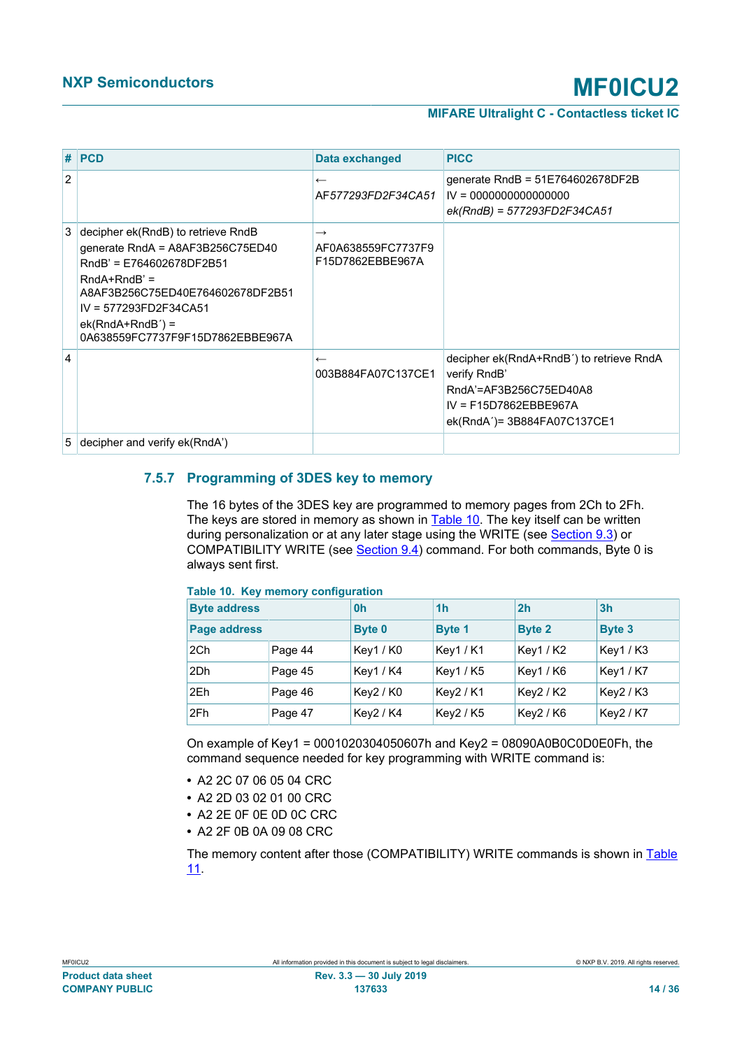|                | $#$ PCD                                                                                                                                                                                                                                       | Data exchanged                                          | <b>PICC</b>                                                                                                                                  |
|----------------|-----------------------------------------------------------------------------------------------------------------------------------------------------------------------------------------------------------------------------------------------|---------------------------------------------------------|----------------------------------------------------------------------------------------------------------------------------------------------|
| $\overline{2}$ |                                                                                                                                                                                                                                               | $\leftarrow$<br>AF577293FD2F34CA51                      | generate RndB = $51E764602678DF2B$<br>$IV = 0000000000000000$<br>$ek(RndB) = 577293FD2F34CA51$                                               |
| 3              | decipher ek(RndB) to retrieve RndB<br>generate RndA = A8AF3B256C75ED40<br>RndB' = E764602678DF2B51<br>$RndA+RndB' =$<br>A8AF3B256C75ED40E764602678DF2B51<br>$IV = 577293FD2F34CA51$<br>$ek(RndA+RndB') =$<br>0A638559FC7737F9F15D7862EBBE967A | $\rightarrow$<br>AF0A638559FC7737F9<br>F15D7862EBBE967A |                                                                                                                                              |
| $\overline{4}$ |                                                                                                                                                                                                                                               | $\leftarrow$<br>003B884FA07C137CE1                      | decipher ek(RndA+RndB') to retrieve RndA<br>verify RndB'<br>RndA'=AF3B256C75ED40A8<br>$IV = F15D7862EBBE967A$<br>ek(RndA')= 3B884FA07C137CE1 |
| 5              | decipher and verify ek(RndA')                                                                                                                                                                                                                 |                                                         |                                                                                                                                              |

# **7.5.7 Programming of 3DES key to memory**

<span id="page-13-2"></span>The 16 bytes of the 3DES key are programmed to memory pages from 2Ch to 2Fh. The keys are stored in memory as shown in [Table 10.](#page-13-0) The key itself can be written during personalization or at any later stage using the WRITE (see [Section 9.3](#page-19-0)) or COMPATIBILITY WRITE (see **[Section 9.4\)](#page-20-0)** command. For both commands, Byte 0 is always sent first.

| $14010$ TV: TWY INVINCEY CONTIGUIUS |         |                |                |                |                |
|-------------------------------------|---------|----------------|----------------|----------------|----------------|
| <b>Byte address</b>                 |         | 0 <sub>h</sub> | 1 <sub>h</sub> | 2 <sub>h</sub> | 3 <sub>h</sub> |
| Page address                        |         | <b>Byte 0</b>  | <b>Byte 1</b>  | <b>Byte 2</b>  | <b>Byte 3</b>  |
| 2Ch                                 | Page 44 | Key1 / K0      | <b>Key1/K1</b> | Key1/K2        | Key1/K3        |
| 2Dh                                 | Page 45 | Key1/K4        | Key1 / K5      | Key1/K6        | <b>Key1/K7</b> |
| 2Eh                                 | Page 46 | Key2/K0        | Key2/K1        | Key2 / K2      | Key2/K3        |
| 2Fh                                 | Page 47 | Key2 / K4      | Key2 / K5      | Key2 / K6      | Key2 / K7      |

#### <span id="page-13-1"></span><span id="page-13-0"></span>**Table 10. Key memory configuration**

On example of Key1 = 0001020304050607h and Key2 = 08090A0B0C0D0E0Fh, the command sequence needed for key programming with WRITE command is:

- **•** A2 2C 07 06 05 04 CRC
- **•** A2 2D 03 02 01 00 CRC
- **•** A2 2E 0F 0E 0D 0C CRC
- **•** A2 2F 0B 0A 09 08 CRC

The memory content after those (COMPATIBILITY) WRITE commands is shown in [Table](#page-14-0) [11](#page-14-0).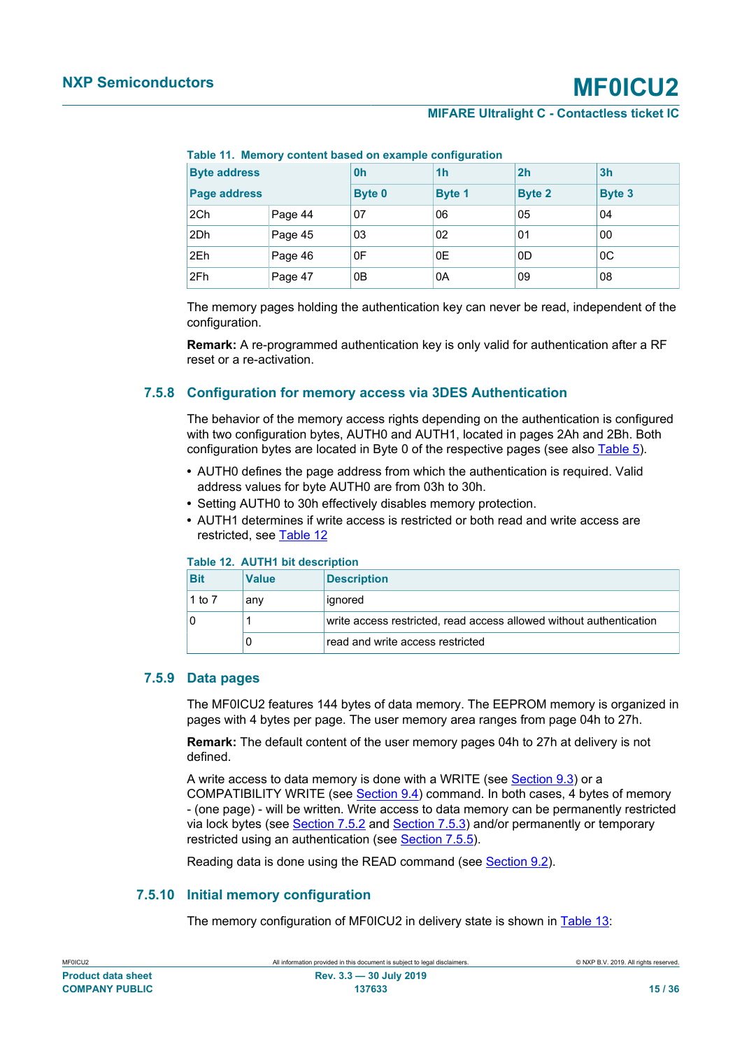| <b>Byte address</b> |         | 0h            | 1 <sub>h</sub> | 2h            | 3 <sub>h</sub> |
|---------------------|---------|---------------|----------------|---------------|----------------|
| Page address        |         | <b>Byte 0</b> | <b>Byte 1</b>  | <b>Byte 2</b> | <b>Byte 3</b>  |
| 2Ch                 | Page 44 | 07            | 06             | 05            | 04             |
| 2Dh                 | Page 45 | 03            | 02             | 01            | 00             |
| 2Eh                 | Page 46 | 0F            | 0E             | 0D            | $_{0C}$        |
| 2Fh                 | Page 47 | 0B            | 0A             | 09            | 08             |

<span id="page-14-3"></span><span id="page-14-0"></span>**Table 11. Memory content based on example configuration**

The memory pages holding the authentication key can never be read, independent of the configuration.

**Remark:** A re-programmed authentication key is only valid for authentication after a RF reset or a re-activation.

### **7.5.8 Configuration for memory access via 3DES Authentication**

<span id="page-14-5"></span>The behavior of the memory access rights depending on the authentication is configured with two configuration bytes, AUTH0 and AUTH1, located in pages 2Ah and 2Bh. Both configuration bytes are located in Byte 0 of the respective pages (see also [Table 5](#page-7-1)).

- **•** AUTH0 defines the page address from which the authentication is required. Valid address values for byte AUTH0 are from 03h to 30h.
- **•** Setting AUTH0 to 30h effectively disables memory protection.
- **•** AUTH1 determines if write access is restricted or both read and write access are restricted, see [Table 12](#page-14-1)

#### <span id="page-14-4"></span><span id="page-14-1"></span>**Table 12. AUTH1 bit description**

| <b>Bit</b> | <b>Value</b> | <b>Description</b>                                                  |
|------------|--------------|---------------------------------------------------------------------|
| 1 to $7$   | anv          | ignored                                                             |
|            |              | write access restricted, read access allowed without authentication |
|            |              | read and write access restricted                                    |

### **7.5.9 Data pages**

<span id="page-14-2"></span>The MF0ICU2 features 144 bytes of data memory. The EEPROM memory is organized in pages with 4 bytes per page. The user memory area ranges from page 04h to 27h.

**Remark:** The default content of the user memory pages 04h to 27h at delivery is not defined.

A write access to data memory is done with a WRITE (see [Section 9.3](#page-19-0)) or a COMPATIBILITY WRITE (see [Section 9.4\)](#page-20-0) command. In both cases, 4 bytes of memory - (one page) - will be written. Write access to data memory can be permanently restricted via lock bytes (see [Section 7.5.2](#page-8-0) and [Section 7.5.3\)](#page-10-2) and/or permanently or temporary restricted using an authentication (see [Section 7.5.5\)](#page-11-0).

<span id="page-14-6"></span>Reading data is done using the READ command (see [Section 9.2\)](#page-18-0).

## **7.5.10 Initial memory configuration**

The memory configuration of MF0ICU2 in delivery state is shown in [Table 13:](#page-15-0)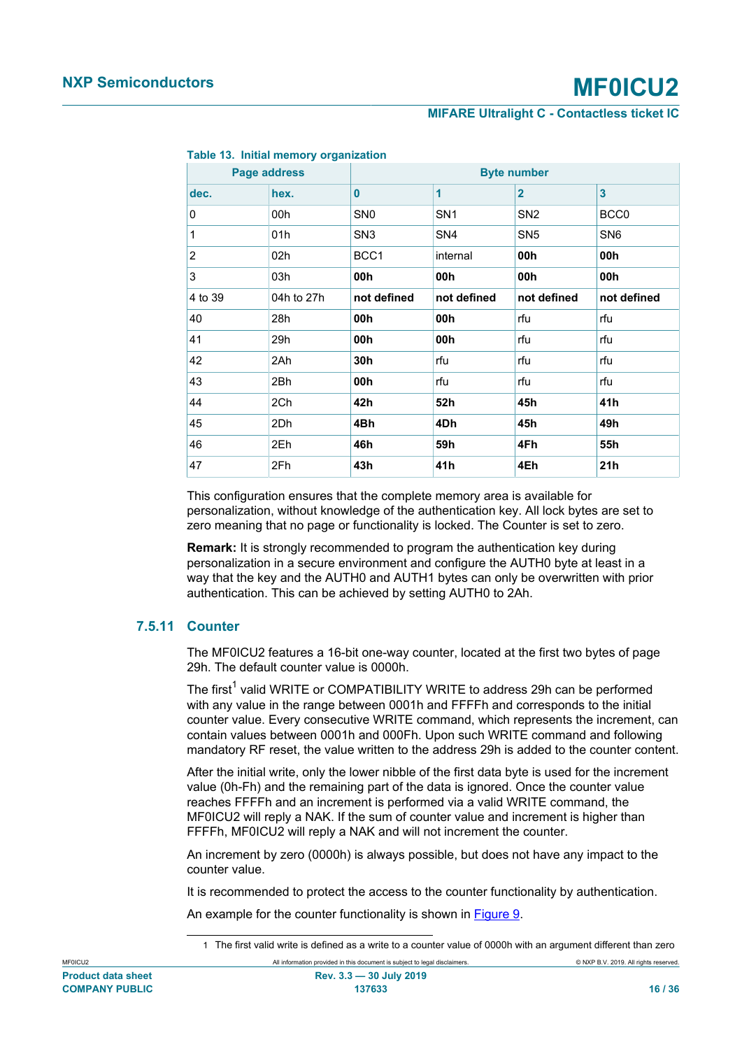| Page address   |            | <b>Byte number</b> |                         |                 |                  |  |
|----------------|------------|--------------------|-------------------------|-----------------|------------------|--|
| dec.           | hex.       | $\bf{0}$           | $\overline{\mathbf{1}}$ | $\overline{2}$  | 3                |  |
| 0              | 00h        | SN <sub>0</sub>    | SN <sub>1</sub>         | SN <sub>2</sub> | BCC <sub>0</sub> |  |
| 1              | 01h        | SN <sub>3</sub>    | SN <sub>4</sub>         | SN <sub>5</sub> | SN <sub>6</sub>  |  |
| $\overline{2}$ | 02h        | BCC1               | internal                | 00h             | 00h              |  |
| 3              | 03h        | 00h                | 00h                     | 00h             | 00h              |  |
| 4 to 39        | 04h to 27h | not defined        | not defined             | not defined     | not defined      |  |
| 40             | 28h        | 00h                | 00h                     | rfu             | rfu              |  |
| 41             | 29h        | 00h                | 00h                     | rfu             | rfu              |  |
| 42             | 2Ah        | 30h                | rfu                     | rfu             | rfu              |  |
| 43             | 2Bh        | 00h                | rfu                     | rfu             | rfu              |  |
| 44             | 2Ch        | 42h                | 52h                     | 45h             | 41h              |  |
| 45             | 2Dh        | 4Bh                | 4Dh                     | 45h             | 49h              |  |
| 46             | 2Eh        | 46h                | 59h                     | 4Fh             | 55h              |  |
| 47             | 2Fh        | 43h                | 41h                     | 4Eh             | 21h              |  |

#### <span id="page-15-1"></span><span id="page-15-0"></span>**Table 13. Initial memory organization**

This configuration ensures that the complete memory area is available for personalization, without knowledge of the authentication key. All lock bytes are set to zero meaning that no page or functionality is locked. The Counter is set to zero.

**Remark:** It is strongly recommended to program the authentication key during personalization in a secure environment and configure the AUTH0 byte at least in a way that the key and the AUTH0 and AUTH1 bytes can only be overwritten with prior authentication. This can be achieved by setting AUTH0 to 2Ah.

### **7.5.11 Counter**

<span id="page-15-2"></span>The MF0ICU2 features a 16-bit one-way counter, located at the first two bytes of page 29h. The default counter value is 0000h.

The first $^1$  valid WRITE or COMPATIBILITY WRITE to address 29h can be performed with any value in the range between 0001h and FFFFh and corresponds to the initial counter value. Every consecutive WRITE command, which represents the increment, can contain values between 0001h and 000Fh. Upon such WRITE command and following mandatory RF reset, the value written to the address 29h is added to the counter content.

After the initial write, only the lower nibble of the first data byte is used for the increment value (0h-Fh) and the remaining part of the data is ignored. Once the counter value reaches FFFFh and an increment is performed via a valid WRITE command, the MF0ICU2 will reply a NAK. If the sum of counter value and increment is higher than FFFFh, MF0ICU2 will reply a NAK and will not increment the counter.

An increment by zero (0000h) is always possible, but does not have any impact to the counter value.

It is recommended to protect the access to the counter functionality by authentication.

An example for the counter functionality is shown in [Figure 9](#page-16-0).

MF0ICU2 All information provided in this document is subject to legal disclaimers. © NXP B.V. 2019. All rights reserved.

<sup>1</sup> The first valid write is defined as a write to a counter value of 0000h with an argument different than zero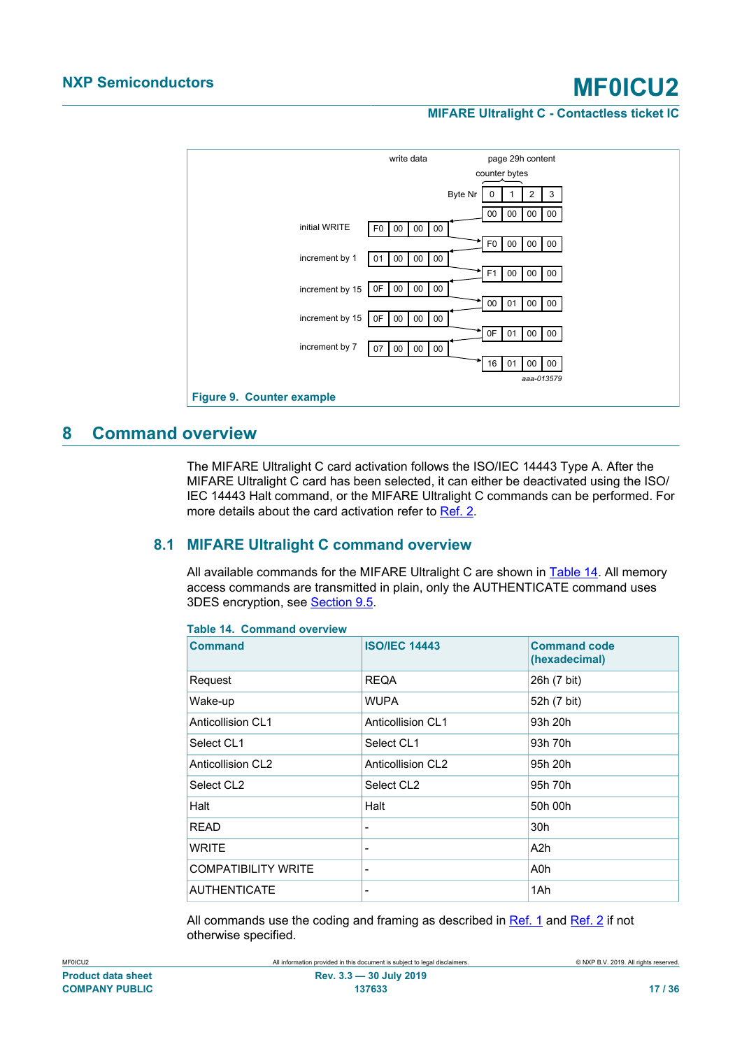<span id="page-16-3"></span>

# <span id="page-16-4"></span>**8 Command overview**

<span id="page-16-0"></span>The MIFARE Ultralight C card activation follows the ISO/IEC 14443 Type A. After the MIFARE Ultralight C card has been selected, it can either be deactivated using the ISO/ IEC 14443 Halt command, or the MIFARE Ultralight C commands can be performed. For more details about the card activation refer to [Ref. 2.](#page-29-1)

# **8.1 MIFARE Ultralight C command overview**

<span id="page-16-5"></span>All available commands for the MIFARE Ultralight C are shown in [Table 14.](#page-16-1) All memory access commands are transmitted in plain, only the AUTHENTICATE command uses 3DES encryption, see [Section 9.5](#page-22-0).

<span id="page-16-1"></span>

| <b>Command</b>             | <b>ISO/IEC 14443</b>     | <b>Command code</b><br>(hexadecimal) |
|----------------------------|--------------------------|--------------------------------------|
| Request                    | <b>REQA</b>              | 26h (7 bit)                          |
| Wake-up                    | <b>WUPA</b>              | 52h (7 bit)                          |
| Anticollision CI 1         | Anticollision CL1        | 93h 20h                              |
| Select CL1                 | Select CL1               | 93h 70h                              |
| <b>Anticollision CL2</b>   | <b>Anticollision CL2</b> | 95h 20h                              |
| Select CL <sub>2</sub>     | Select CL2               | 95h 70h                              |
| Halt                       | Halt                     | 50h 00h                              |
| <b>READ</b>                | $\overline{\phantom{0}}$ | 30h                                  |
| <b>WRITE</b>               | $\overline{\phantom{0}}$ | A2h                                  |
| <b>COMPATIBILITY WRITE</b> | -                        | A0h                                  |
| <b>AUTHENTICATE</b>        | -                        | 1Ah                                  |
|                            |                          |                                      |

<span id="page-16-2"></span>**Table 14. Command overview**

All commands use the coding and framing as described in [Ref. 1](#page-29-0) and [Ref. 2](#page-29-1) if not otherwise specified.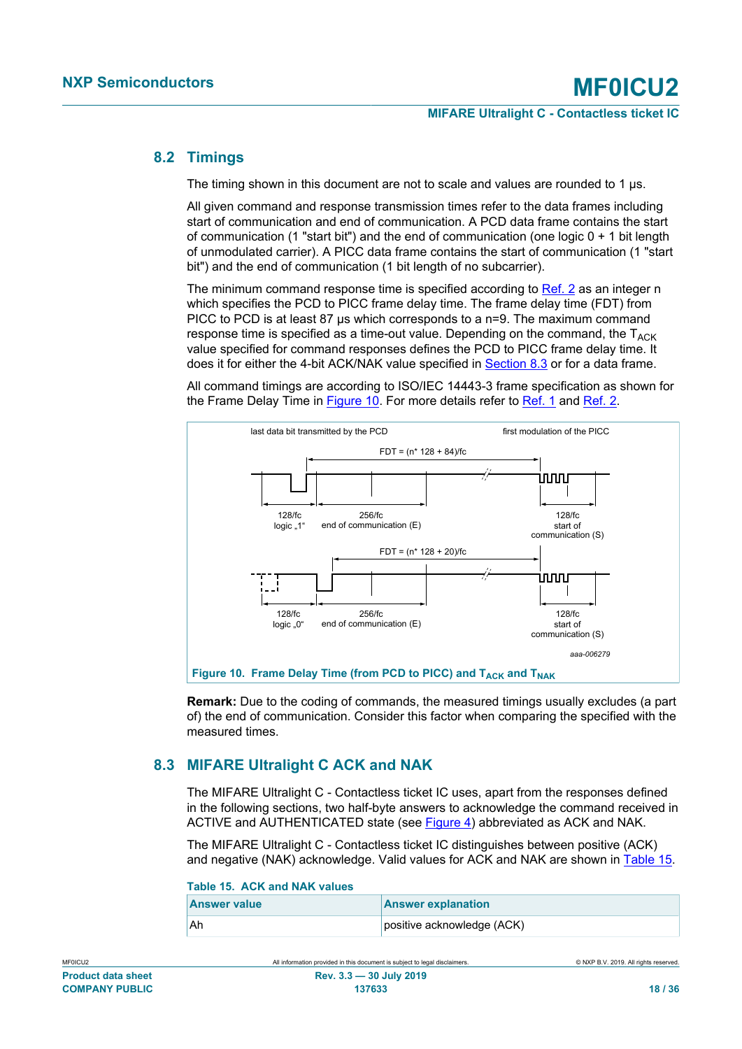# **8.2 Timings**

<span id="page-17-5"></span>The timing shown in this document are not to scale and values are rounded to 1 μs.

All given command and response transmission times refer to the data frames including start of communication and end of communication. A PCD data frame contains the start of communication (1 "start bit") and the end of communication (one logic  $0 + 1$  bit length of unmodulated carrier). A PICC data frame contains the start of communication (1 "start bit") and the end of communication (1 bit length of no subcarrier).

The minimum command response time is specified according to [Ref. 2](#page-29-1) as an integer n which specifies the PCD to PICC frame delay time. The frame delay time (FDT) from PICC to PCD is at least 87 μs which corresponds to a n=9. The maximum command response time is specified as a time-out value. Depending on the command, the  $T_{ACK}$ value specified for command responses defines the PCD to PICC frame delay time. It does it for either the 4-bit ACK/NAK value specified in [Section 8.3](#page-17-0) or for a data frame.

All command timings are according to ISO/IEC 14443-3 frame specification as shown for the Frame Delay Time in [Figure 10](#page-17-1). For more details refer to [Ref. 1](#page-29-0) and [Ref. 2.](#page-29-1)

<span id="page-17-4"></span>

<span id="page-17-1"></span>**Remark:** Due to the coding of commands, the measured timings usually excludes (a part of) the end of communication. Consider this factor when comparing the specified with the measured times.

# **8.3 MIFARE Ultralight C ACK and NAK**

<span id="page-17-0"></span>The MIFARE Ultralight C - Contactless ticket IC uses, apart from the responses defined in the following sections, two half-byte answers to acknowledge the command received in ACTIVE and AUTHENTICATED state (see [Figure 4](#page-5-0)) abbreviated as ACK and NAK.

The MIFARE Ultralight C - Contactless ticket IC distinguishes between positive (ACK) and negative (NAK) acknowledge. Valid values for ACK and NAK are shown in [Table 15](#page-17-2).

<span id="page-17-2"></span>

| Table 15. ACK and NAK values |                            |  |  |  |
|------------------------------|----------------------------|--|--|--|
| <b>Answer value</b>          | <b>Answer explanation</b>  |  |  |  |
| <sup>I</sup> Ah              | positive acknowledge (ACK) |  |  |  |

## <span id="page-17-3"></span>**Table 15. ACK and NAK values**

| .                         |  |
|---------------------------|--|
| <b>Product data sheet</b> |  |
| <b>COMPANY PUBLIC</b>     |  |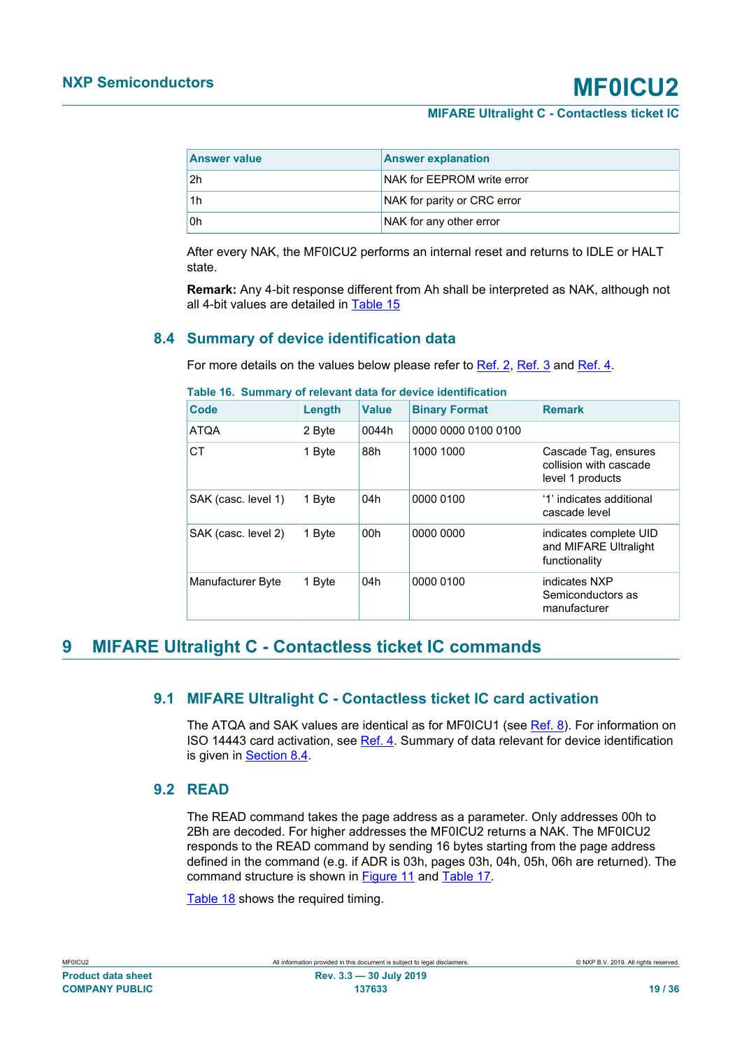| <b>Answer value</b> | <b>Answer explanation</b>   |
|---------------------|-----------------------------|
| l 2h                | NAK for EEPROM write error  |
| 1h                  | NAK for parity or CRC error |
| l Oh                | NAK for any other error     |

After every NAK, the MF0ICU2 performs an internal reset and returns to IDLE or HALT state.

**Remark:** Any 4-bit response different from Ah shall be interpreted as NAK, although not all 4-bit values are detailed in [Table 15](#page-17-2)

# **8.4 Summary of device identification data**

<span id="page-18-1"></span>For more details on the values below please refer to [Ref. 2](#page-29-1), [Ref. 3](#page-29-4) and [Ref. 4](#page-29-3).

| Code                | Length | <b>Value</b>    | <b>Binary Format</b> | <b>Remark</b>                                                      |
|---------------------|--------|-----------------|----------------------|--------------------------------------------------------------------|
| <b>ATQA</b>         | 2 Byte | 0044h           | 0000 0000 0100 0100  |                                                                    |
| <b>CT</b>           | 1 Byte | 88h             | 1000 1000            | Cascade Tag, ensures<br>collision with cascade<br>level 1 products |
| SAK (casc. level 1) | 1 Byte | 04h             | 0000 0100            | '1' indicates additional<br>cascade level                          |
| SAK (casc. level 2) | 1 Byte | 00 <sub>h</sub> | 0000 0000            | indicates complete UID<br>and MIFARE Ultralight<br>functionality   |
| Manufacturer Byte   | 1 Byte | 04h             | 0000 0100            | indicates NXP<br>Semiconductors as<br>manufacturer                 |

<span id="page-18-2"></span>**Table 16. Summary of relevant data for device identification**

# <span id="page-18-3"></span>**9 MIFARE Ultralight C - Contactless ticket IC commands**

## <span id="page-18-4"></span>**9.1 MIFARE Ultralight C - Contactless ticket IC card activation**

The ATQA and SAK values are identical as for MF0ICU1 (see [Ref. 8\)](#page-30-2). For information on ISO 14443 card activation, see [Ref. 4](#page-29-3). Summary of data relevant for device identification is given in **Section 8.4.** 

# <span id="page-18-0"></span>**9.2 READ**

The READ command takes the page address as a parameter. Only addresses 00h to 2Bh are decoded. For higher addresses the MF0ICU2 returns a NAK. The MF0ICU2 responds to the READ command by sending 16 bytes starting from the page address defined in the command (e.g. if ADR is 03h, pages 03h, 04h, 05h, 06h are returned). The command structure is shown in [Figure 11](#page-19-1) and [Table 17.](#page-19-2)

[Table 18](#page-19-3) shows the required timing.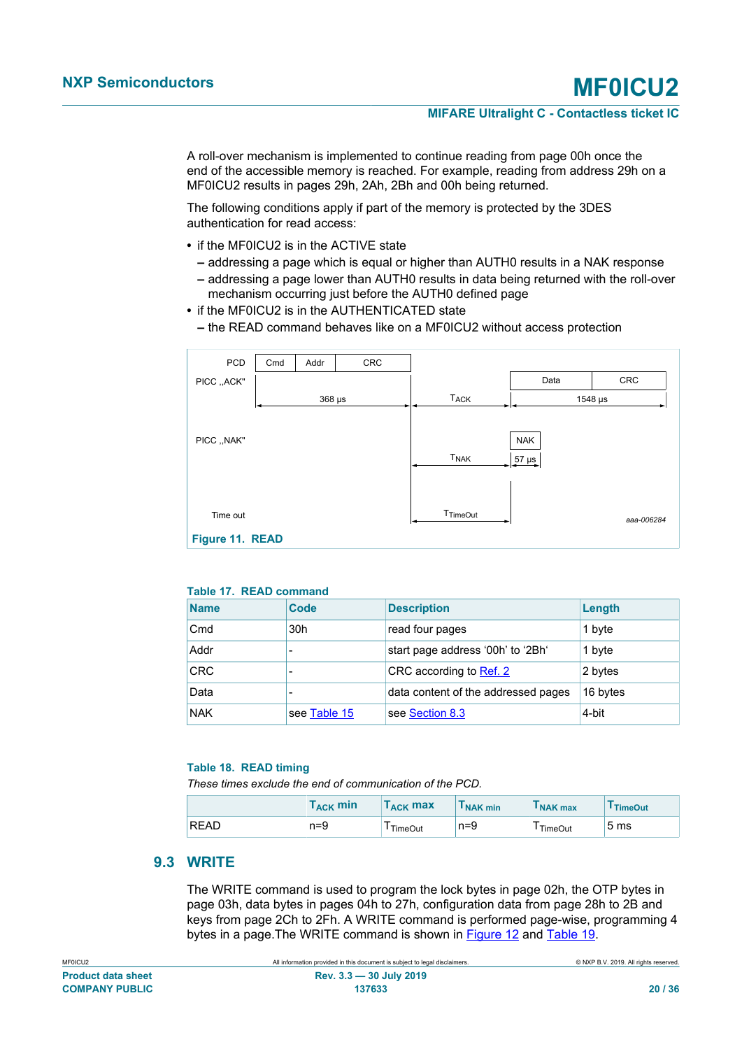A roll-over mechanism is implemented to continue reading from page 00h once the end of the accessible memory is reached. For example, reading from address 29h on a MF0ICU2 results in pages 29h, 2Ah, 2Bh and 00h being returned.

The following conditions apply if part of the memory is protected by the 3DES authentication for read access:

- **•** if the MF0ICU2 is in the ACTIVE state
	- **–** addressing a page which is equal or higher than AUTH0 results in a NAK response
	- **–** addressing a page lower than AUTH0 results in data being returned with the roll-over mechanism occurring just before the AUTH0 defined page
- **•** if the MF0ICU2 is in the AUTHENTICATED state
	- **–** the READ command behaves like on a MF0ICU2 without access protection

<span id="page-19-6"></span>

| PCD             | Cmd | Addr        | CRC |                        |                          |            |
|-----------------|-----|-------------|-----|------------------------|--------------------------|------------|
| PICC ,, ACK"    |     |             |     |                        | Data                     | CRC        |
|                 |     | $368 \mu s$ |     | <b>TACK</b>            |                          | 1548 µs    |
| PICC ,, NAK"    |     |             |     | <b>T<sub>NAK</sub></b> | <b>NAK</b><br>$57 \mu s$ |            |
| Time out        |     |             |     | T <sub>TimeOut</sub>   |                          | aaa-006284 |
| Figure 11. READ |     |             |     |                        |                          |            |

#### <span id="page-19-4"></span><span id="page-19-2"></span><span id="page-19-1"></span>**Table 17. READ command**

| <b>Name</b> | Code            | <b>Description</b>                  | Length   |
|-------------|-----------------|-------------------------------------|----------|
| Cmd         | 30 <sub>h</sub> | read four pages                     | 1 byte   |
| Addr        |                 | start page address '00h' to '2Bh'   | 1 byte   |
| <b>CRC</b>  |                 | CRC according to Ref. 2             | 2 bytes  |
| Data        |                 | data content of the addressed pages | 16 bytes |
| <b>NAK</b>  | see Table 15    | see Section 8.3                     | 4-bit    |

#### <span id="page-19-5"></span><span id="page-19-3"></span>**Table 18. READ timing**

*These times exclude the end of communication of the PCD.*

|             | $\mathsf{T}_{\mathsf{ACK}}$ min | $\mathsf{T}_{\mathsf{ACK}}$ max | <b>I</b> NAK min | I NAK max            | <sup>1</sup> TimeOut |
|-------------|---------------------------------|---------------------------------|------------------|----------------------|----------------------|
| <b>READ</b> | $n=9$                           | TimeOut                         | n=9              | <sup>I</sup> TimeOut | -<br>5 <sub>ms</sub> |

## **9.3 WRITE**

<span id="page-19-0"></span>The WRITE command is used to program the lock bytes in page 02h, the OTP bytes in page 03h, data bytes in pages 04h to 27h, configuration data from page 28h to 2B and keys from page 2Ch to 2Fh. A WRITE command is performed page-wise, programming 4 bytes in a page.The WRITE command is shown in [Figure 12](#page-20-1) and [Table 19.](#page-20-2)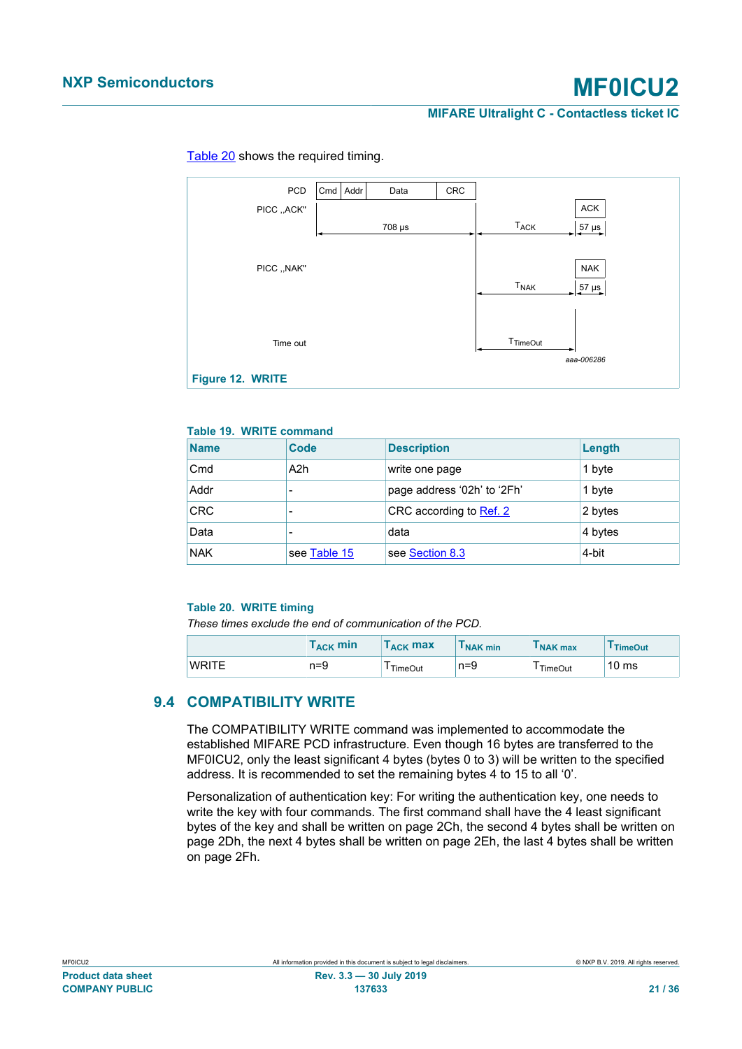<span id="page-20-6"></span>

### [Table 20](#page-20-3) shows the required timing.

### <span id="page-20-4"></span><span id="page-20-2"></span><span id="page-20-1"></span>**Table 19. WRITE command**

| <b>Name</b> | Code             | <b>Description</b>          | Length  |
|-------------|------------------|-----------------------------|---------|
| Cmd         | A <sub>2</sub> h | write one page              | 1 byte  |
| Addr        |                  | page address '02h' to '2Fh' | 1 byte  |
| <b>CRC</b>  |                  | CRC according to Ref. 2     | 2 bytes |
| Data        |                  | data                        | 4 bytes |
| <b>NAK</b>  | see Table 15     | see Section 8.3             | 4-bit   |

#### <span id="page-20-5"></span><span id="page-20-3"></span>**Table 20. WRITE timing**

*These times exclude the end of communication of the PCD.*

|              | $\mathsf{T}_{\mathsf{ACK}}$ min | $\mathsf{T}_{\mathsf{ACK}}$ max | I NAK min | I NAK max | <sup>I</sup> TimeOut |
|--------------|---------------------------------|---------------------------------|-----------|-----------|----------------------|
| <b>WRITE</b> | n=9                             | TimeOut                         | $n = 9$   | TimeOut   | $10 \text{ ms}$      |

# <span id="page-20-0"></span>**9.4 COMPATIBILITY WRITE**

The COMPATIBILITY WRITE command was implemented to accommodate the established MIFARE PCD infrastructure. Even though 16 bytes are transferred to the MF0ICU2, only the least significant 4 bytes (bytes 0 to 3) will be written to the specified address. It is recommended to set the remaining bytes 4 to 15 to all '0'.

Personalization of authentication key: For writing the authentication key, one needs to write the key with four commands. The first command shall have the 4 least significant bytes of the key and shall be written on page 2Ch, the second 4 bytes shall be written on page 2Dh, the next 4 bytes shall be written on page 2Eh, the last 4 bytes shall be written on page 2Fh.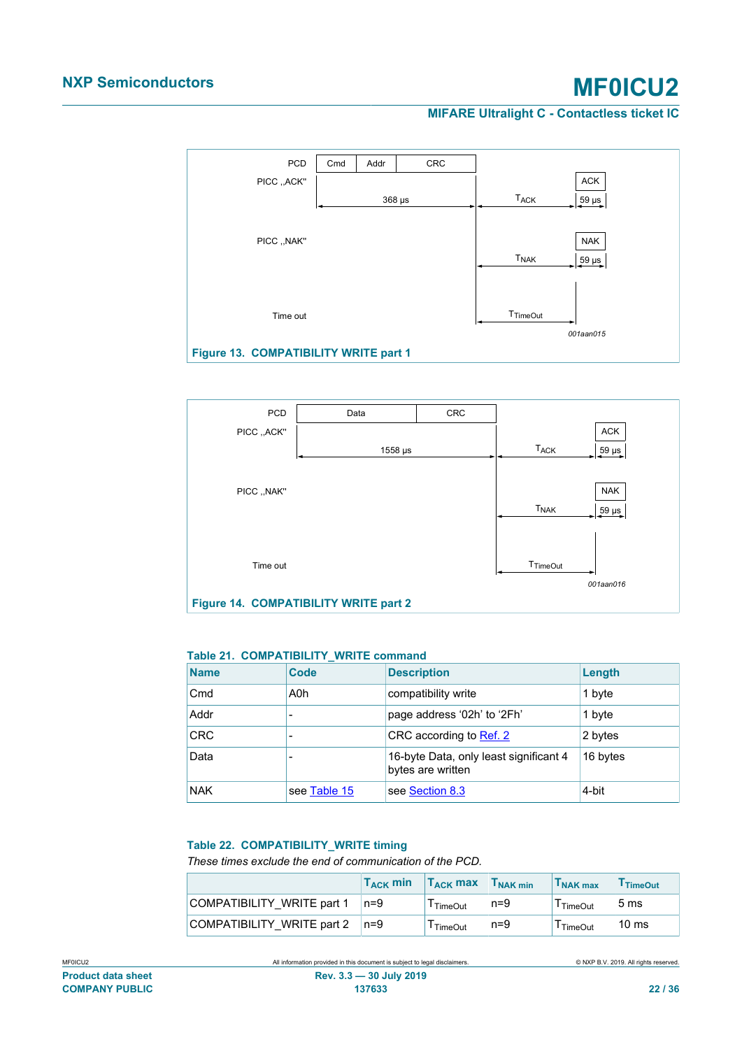**MIFARE Ultralight C - Contactless ticket IC**

<span id="page-21-2"></span>

<span id="page-21-3"></span>

#### <span id="page-21-0"></span>**Table 21. COMPATIBILITY\_WRITE command**

| <b>Name</b> | Code         | <b>Description</b>                                          | Length   |
|-------------|--------------|-------------------------------------------------------------|----------|
| Cmd         | A0h          | compatibility write                                         | 1 byte   |
| Addr        |              | page address '02h' to '2Fh'                                 | 1 byte   |
| <b>CRC</b>  |              | CRC according to Ref. 2                                     | 2 bytes  |
| Data        |              | 16-byte Data, only least significant 4<br>bytes are written | 16 bytes |
| <b>NAK</b>  | see Table 15 | see Section 8.3                                             | 4-bit    |

### <span id="page-21-1"></span>**Table 22. COMPATIBILITY\_WRITE timing**

*These times exclude the end of communication of the PCD.*

|                            | $T_{ACK}$ min | $T_{ACK}$ max | $T_{\text{NAK min}}$ | T <sub>NAK max</sub> | <sup>I</sup> TimeOut |
|----------------------------|---------------|---------------|----------------------|----------------------|----------------------|
| COMPATIBILITY WRITE part 1 | $n=9$         | TimeOut       | $n=9$                | l TimeOut            | 5 <sub>ms</sub>      |
| COMPATIBILITY WRITE part 2 | ⊥n=9          | TimeOut       | $n=9$                | TimeOut              | $10 \text{ ms}$      |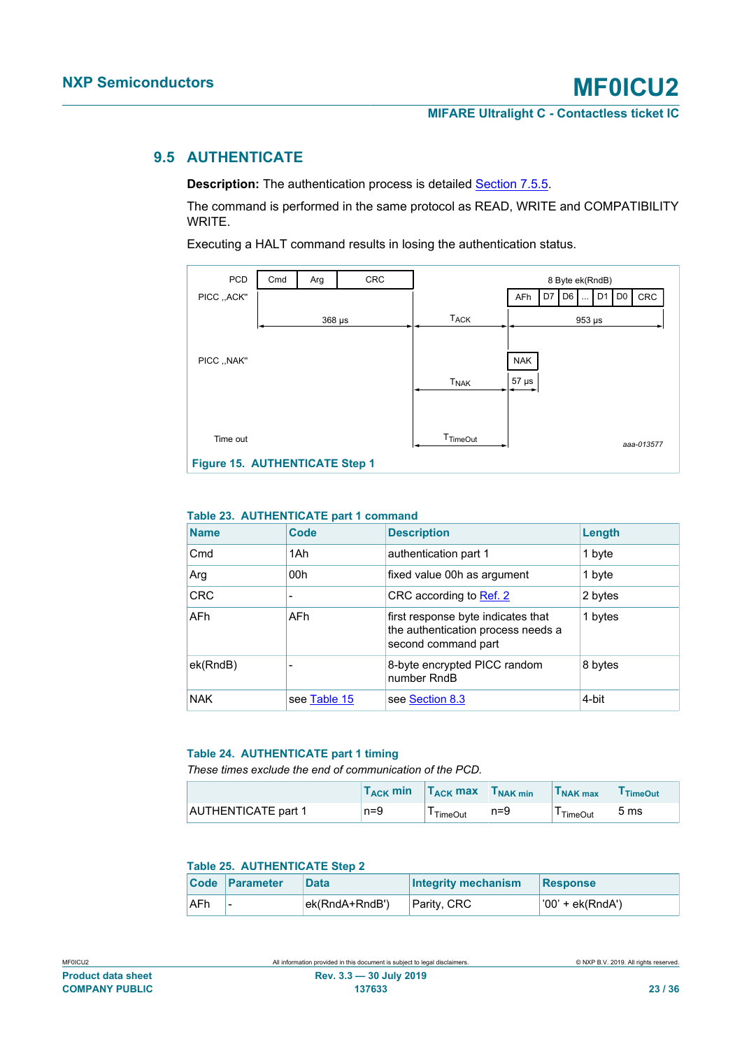# **9.5 AUTHENTICATE**

<span id="page-22-0"></span>**Description:** The authentication process is detailed **[Section 7.5.5.](#page-11-0)** 

The command is performed in the same protocol as READ, WRITE and COMPATIBILITY WRITE.

Executing a HALT command results in losing the authentication status.

<span id="page-22-4"></span>

#### <span id="page-22-1"></span>**Table 23. AUTHENTICATE part 1 command**

| <b>Name</b>     | Code         | <b>Description</b>                                                                              | Length  |
|-----------------|--------------|-------------------------------------------------------------------------------------------------|---------|
| C <sub>md</sub> | 1Ah          | authentication part 1                                                                           | 1 byte  |
| Arg             | 00h          | fixed value 00h as argument                                                                     | 1 byte  |
| <b>CRC</b>      |              | CRC according to Ref. 2                                                                         | 2 bytes |
| <b>AFh</b>      | <b>AFh</b>   | first response byte indicates that<br>the authentication process needs a<br>second command part | 1 bytes |
| ek(RndB)        |              | 8-byte encrypted PICC random<br>number RndB                                                     | 8 bytes |
| <b>NAK</b>      | see Table 15 | see Section 8.3                                                                                 | 4-bit   |

#### <span id="page-22-2"></span>**Table 24. AUTHENTICATE part 1 timing**

*These times exclude the end of communication of the PCD.*

|                            | $\mathsf{T}_{\mathsf{ACK}}$ min | $T_{ACK}$ max        | $\vert$ NAK min | I NAK max            | <sup>1</sup> TimeOut |
|----------------------------|---------------------------------|----------------------|-----------------|----------------------|----------------------|
| <b>AUTHENTICATE part 1</b> | $n=9$                           | <sup>I</sup> TimeOut | $n = 9$         | <sup>I</sup> TimeOut | 5 <sub>ms</sub>      |

### <span id="page-22-3"></span>**Table 25. AUTHENTICATE Step 2**

|            | <b>Code Parameter</b> | <b>Data</b>    | <b>Integrity mechanism</b> | Response             |
|------------|-----------------------|----------------|----------------------------|----------------------|
| <b>AFh</b> |                       | ek(RndA+RndB') | Parity, CRC                | $ '00' + ek(RndA') $ |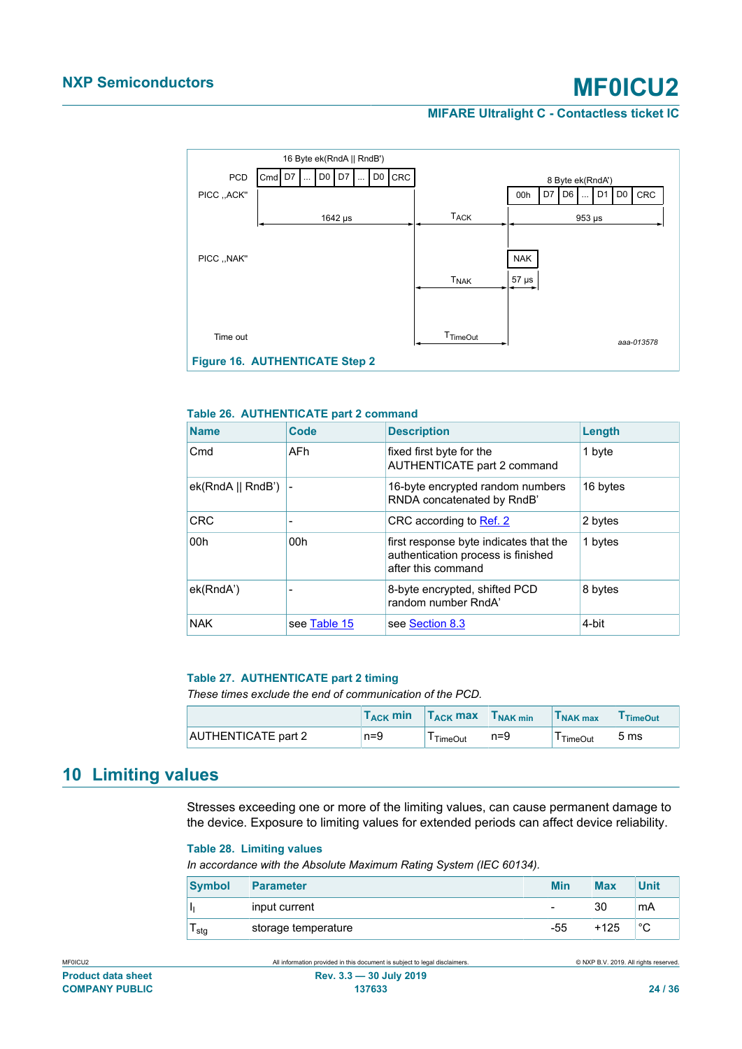**MIFARE Ultralight C - Contactless ticket IC**

<span id="page-23-3"></span>

#### <span id="page-23-0"></span>**Table 26. AUTHENTICATE part 2 command**

| <b>Name</b>           | Code         | <b>Description</b>                                                                                 | Length   |
|-----------------------|--------------|----------------------------------------------------------------------------------------------------|----------|
| Cmd                   | AFh.         | fixed first byte for the<br>AUTHENTICATE part 2 command                                            | 1 byte   |
| $ek(RndA    RndB')$ - |              | 16-byte encrypted random numbers<br>RNDA concatenated by RndB'                                     | 16 bytes |
| <b>CRC</b>            |              | CRC according to Ref. 2                                                                            | 2 bytes  |
| 00h                   | 00h          | first response byte indicates that the<br>authentication process is finished<br>after this command | 1 bytes  |
| ek(RndA')             |              | 8-byte encrypted, shifted PCD<br>random number RndA'                                               | 8 bytes  |
| <b>NAK</b>            | see Table 15 | see Section 8.3                                                                                    | 4-bit    |

#### <span id="page-23-1"></span>**Table 27. AUTHENTICATE part 2 timing**

*These times exclude the end of communication of the PCD.*

|                     | $\mathsf{T}_{\mathsf{ACK}}$ min | $T_{\rm ACK}$ max | I NAK min | I NAK max | <sup>1</sup> TimeOut |
|---------------------|---------------------------------|-------------------|-----------|-----------|----------------------|
| AUTHENTICATE part 2 | n=9                             | TimeOut           | $n = 9$   | TimeOut   | 5 ms                 |

# <span id="page-23-4"></span>**10 Limiting values**

Stresses exceeding one or more of the limiting values, can cause permanent damage to the device. Exposure to limiting values for extended periods can affect device reliability.

#### <span id="page-23-2"></span>**Table 28. Limiting values**

*In accordance with the Absolute Maximum Rating System (IEC 60134).*

| <b>Symbol</b> | <b>Parameter</b>    | <b>Min</b> | <b>Max</b> | <b>Unit</b> |
|---------------|---------------------|------------|------------|-------------|
|               | input current       | -          | 30         | mA          |
| ∎stg          | storage temperature | $-55$      | $+125$     | $\sim$<br>ັ |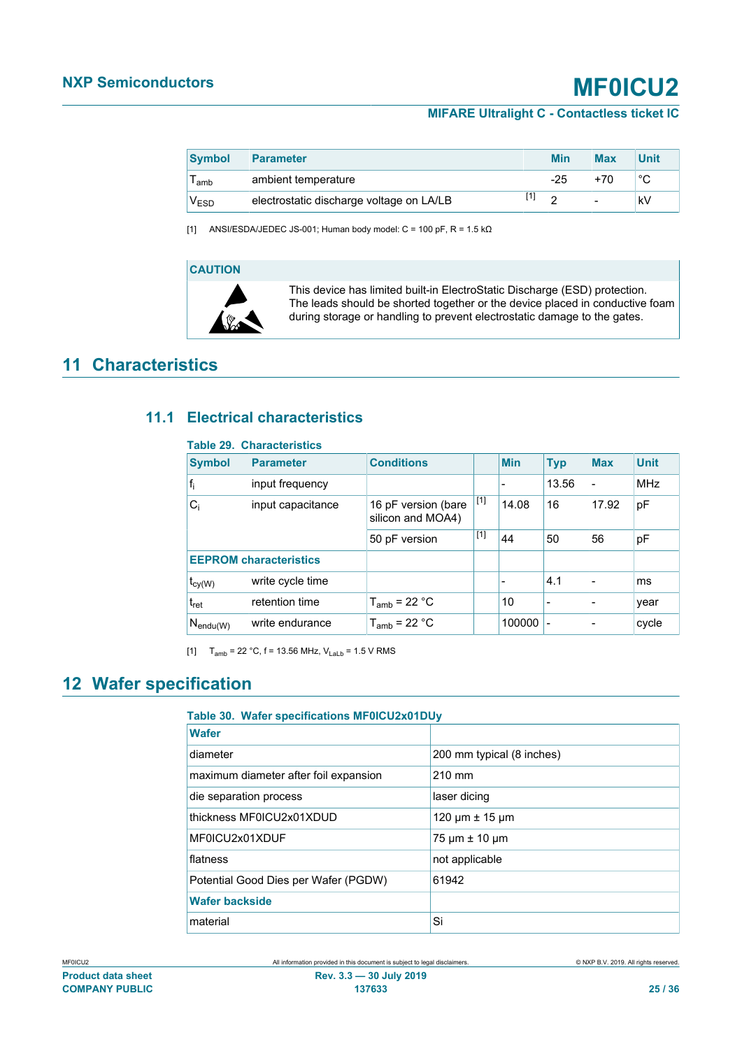<span id="page-24-0"></span>

| <b>Symbol</b>    | <b>Parameter</b>                         |       | <b>Min</b> | <b>Max</b> | <b>Unit</b> |
|------------------|------------------------------------------|-------|------------|------------|-------------|
| l amb            | ambient temperature                      |       | $-25$      | +70        | °C          |
| <sup>V</sup> ESD | electrostatic discharge voltage on LA/LB | $[1]$ | ◠          |            | kV          |

[1] ANSI/ESDA/JEDEC JS-001; Human body model:  $C = 100$  pF,  $R = 1.5$  k $\Omega$ 

### **CAUTION**



This device has limited built-in ElectroStatic Discharge (ESD) protection. The leads should be shorted together or the device placed in conductive foam during storage or handling to prevent electrostatic damage to the gates.

# <span id="page-24-3"></span>**11 Characteristics**

# **11.1 Electrical characteristics**

### <span id="page-24-4"></span><span id="page-24-1"></span>**Table 29. Characteristics**

| <b>Symbol</b>                 | <b>Parameter</b>  | <b>Conditions</b>                        |       | <b>Min</b>               | <b>Typ</b>               | <b>Max</b>               | <b>Unit</b> |
|-------------------------------|-------------------|------------------------------------------|-------|--------------------------|--------------------------|--------------------------|-------------|
| $f_i$                         | input frequency   |                                          |       | $\overline{\phantom{a}}$ | 13.56                    | $\overline{\phantom{a}}$ | <b>MHz</b>  |
| $C_i$                         | input capacitance | 16 pF version (bare<br>silicon and MOA4) | $[1]$ | 14.08                    | 16                       | 17.92                    | pF          |
|                               |                   | 50 pF version                            | $[1]$ | 44                       | 50                       | 56                       | рF          |
| <b>EEPROM characteristics</b> |                   |                                          |       |                          |                          |                          |             |
| $t_{cy(W)}$                   | write cycle time  |                                          |       |                          | 4.1                      |                          | ms          |
| $t_{\sf ret}$                 | retention time    | $T_{amb}$ = 22 °C                        |       | 10                       | $\overline{\phantom{a}}$ |                          | year        |
| $N_{\mathsf{endu}(W)}$        | write endurance   | $T_{amb}$ = 22 °C                        |       | 100000                   | $\overline{\phantom{a}}$ |                          | cycle       |

[1]  $T_{amb} = 22 °C$ , f = 13.56 MHz,  $V_{Lab} = 1.5 V$  RMS

# <span id="page-24-5"></span>**12 Wafer specification**

### <span id="page-24-2"></span>**Table 30. Wafer specifications MF0ICU2x01DUy**

| <b>Wafer</b>                          |                              |
|---------------------------------------|------------------------------|
| diameter                              | 200 mm typical (8 inches)    |
| maximum diameter after foil expansion | $210 \text{ mm}$             |
| die separation process                | laser dicing                 |
| thickness MF0ICU2x01XDUD              | 120 $\mu$ m $\pm$ 15 $\mu$ m |
| MF0ICU2x01XDUF                        | $75 \mu m \pm 10 \mu m$      |
| flatness                              | not applicable               |
| Potential Good Dies per Wafer (PGDW)  | 61942                        |
| <b>Wafer backside</b>                 |                              |
| material                              | Si                           |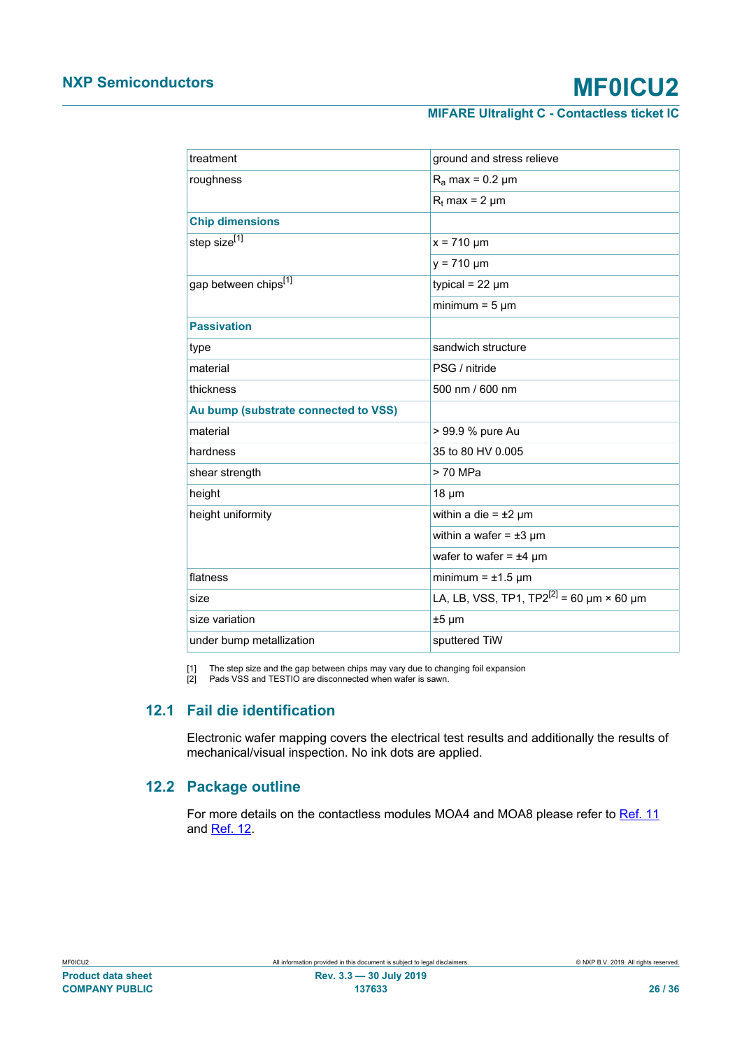<span id="page-25-1"></span><span id="page-25-0"></span>

| treatment                            | ground and stress relieve                                      |  |  |
|--------------------------------------|----------------------------------------------------------------|--|--|
| roughness                            | $R_a$ max = 0.2 µm                                             |  |  |
|                                      |                                                                |  |  |
|                                      | $R_t$ max = 2 µm                                               |  |  |
| <b>Chip dimensions</b>               |                                                                |  |  |
| step size <sup>[1]</sup>             | $x = 710 \mu m$                                                |  |  |
|                                      | $y = 710 \mu m$                                                |  |  |
| gap between chips <sup>[1]</sup>     | typical = $22 \mu m$                                           |  |  |
|                                      | minimum = $5 \mu m$                                            |  |  |
| <b>Passivation</b>                   |                                                                |  |  |
| type                                 | sandwich structure                                             |  |  |
| material                             | PSG / nitride                                                  |  |  |
| thickness                            | 500 nm / 600 nm                                                |  |  |
| Au bump (substrate connected to VSS) |                                                                |  |  |
| material                             | > 99.9 % pure Au                                               |  |  |
| hardness                             | 35 to 80 HV 0.005                                              |  |  |
| shear strength                       | > 70 MPa                                                       |  |  |
| height                               | $18 \mu m$                                                     |  |  |
| height uniformity                    | within a die = $±2 \mu m$                                      |  |  |
|                                      | within a wafer = $\pm 3$ µm                                    |  |  |
|                                      | wafer to wafer = $±4 \mu m$                                    |  |  |
| flatness                             | minimum = $\pm$ 1.5 µm                                         |  |  |
| size                                 | LA, LB, VSS, TP1, TP2 <sup>[2]</sup> = 60 $\mu$ m × 60 $\mu$ m |  |  |
| size variation                       | $±5 \mu m$                                                     |  |  |
| under bump metallization             | sputtered TiW                                                  |  |  |

[1] The step size and the gap between chips may vary due to changing foil expansion

<span id="page-25-2"></span>[2] Pads VSS and TESTIO are disconnected when wafer is sawn.

# **12.1 Fail die identification**

Electronic wafer mapping covers the electrical test results and additionally the results of mechanical/visual inspection. No ink dots are applied.

# **12.2 Package outline**

<span id="page-25-3"></span>For more details on the contactless modules MOA4 and MOA8 please refer to [Ref. 11](#page-30-5) and [Ref. 12.](#page-30-6)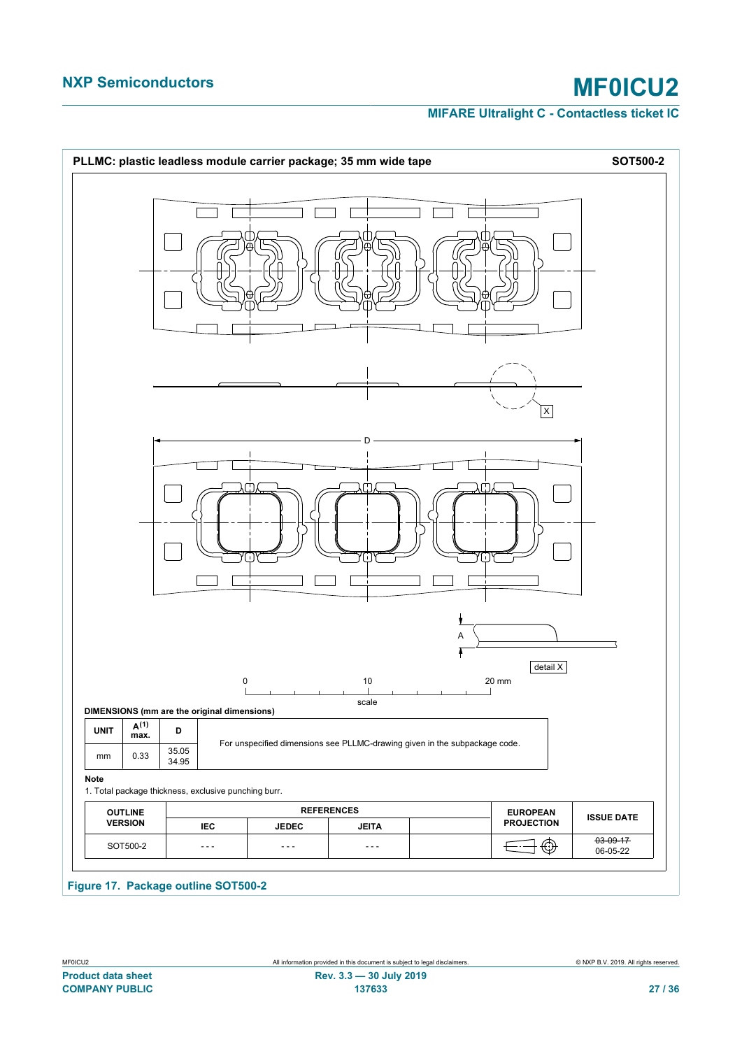<span id="page-26-0"></span>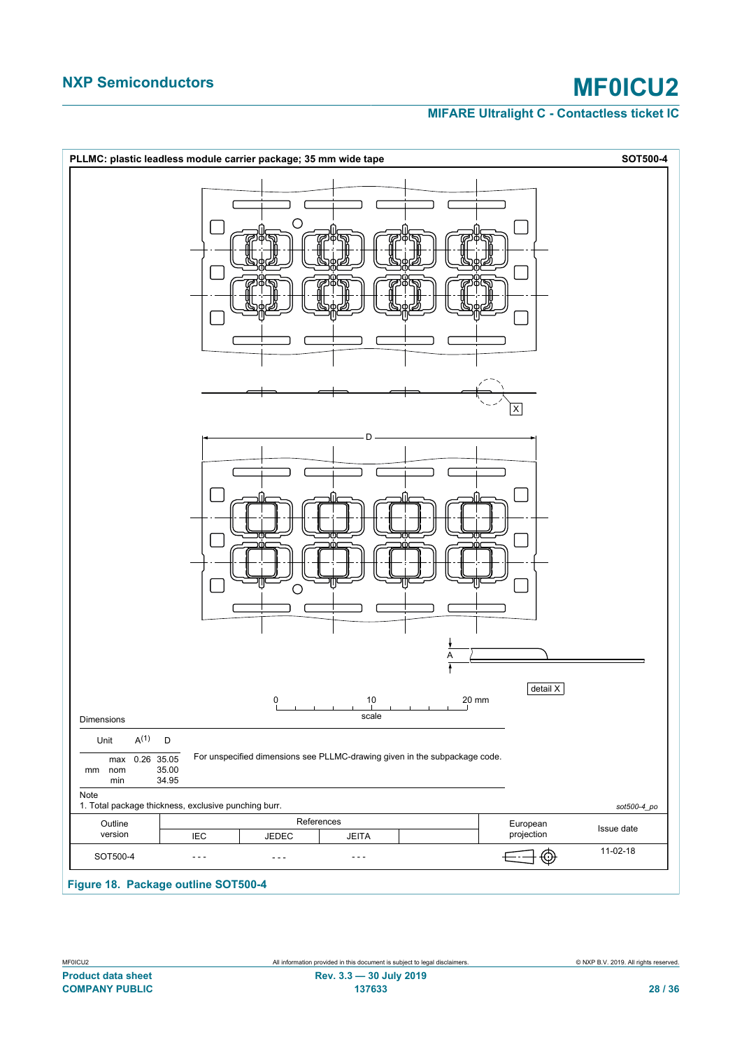<span id="page-27-0"></span>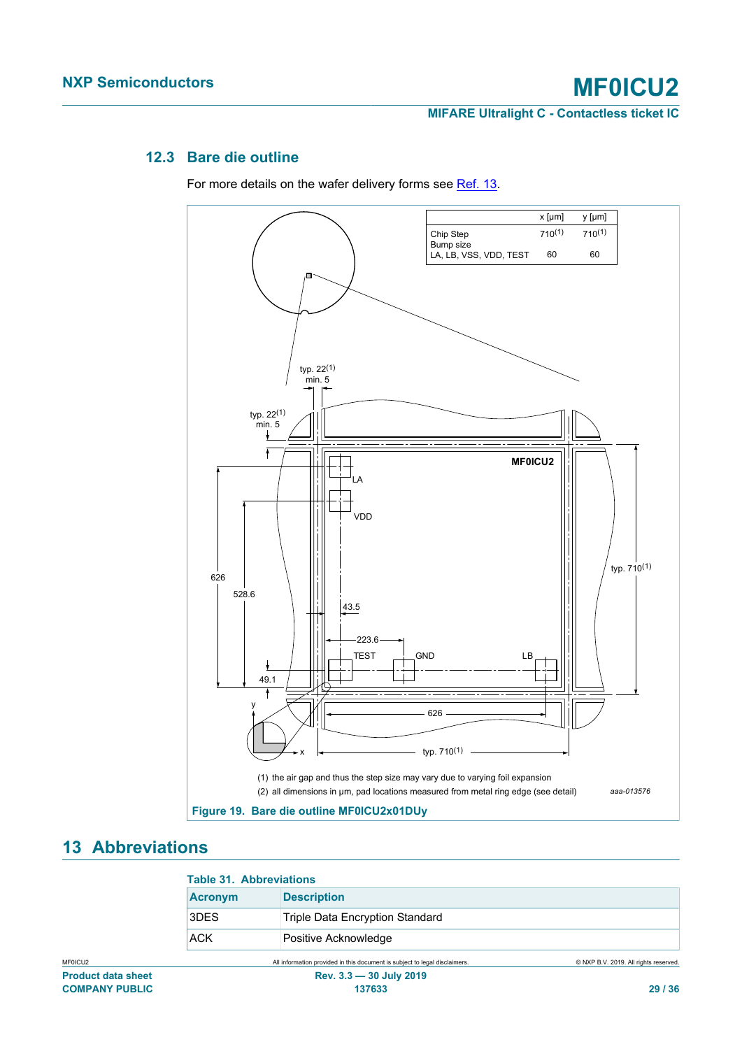# **12.3 Bare die outline**

<span id="page-28-2"></span>For more details on the wafer delivery forms see [Ref. 13.](#page-30-7)

<span id="page-28-1"></span>

# <span id="page-28-3"></span>**13 Abbreviations**

<span id="page-28-0"></span>

| <b>Table 31. Abbreviations</b> |  |
|--------------------------------|--|
|--------------------------------|--|

| TUDIU VII. ADDIU VIULIUIIJ |                                 |  |
|----------------------------|---------------------------------|--|
| <b>Acronym</b>             | <b>Description</b>              |  |
| 3DES                       | Triple Data Encryption Standard |  |
| ACK                        | Positive Acknowledge            |  |

MF0ICU2 All information provided in this document is subject to legal disclaimers. © NXP B.V. 2019. All rights reserved.

**COMPANY PUBLIC 137633 29 / 36**

### **Product data sheet Rev. 3.3 — 30 July 2019**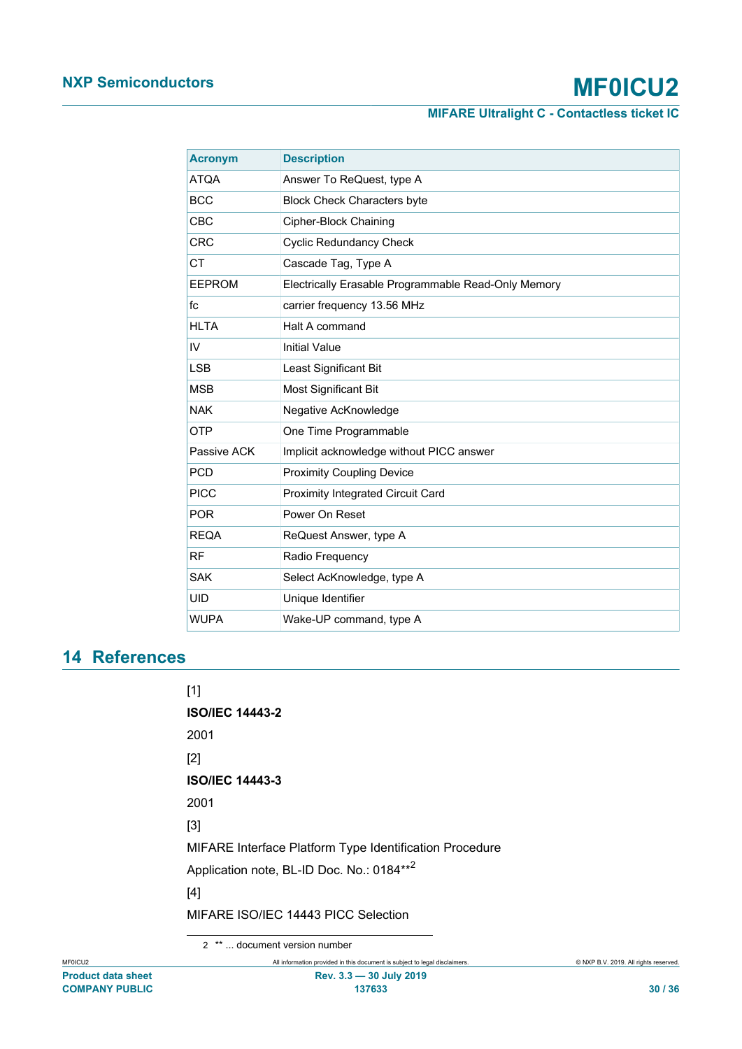**MIFARE Ultralight C - Contactless ticket IC**

| <b>Acronym</b> | <b>Description</b>                                  |
|----------------|-----------------------------------------------------|
| <b>ATQA</b>    | Answer To ReQuest, type A                           |
| <b>BCC</b>     | <b>Block Check Characters byte</b>                  |
| <b>CBC</b>     | Cipher-Block Chaining                               |
| <b>CRC</b>     | <b>Cyclic Redundancy Check</b>                      |
| <b>CT</b>      | Cascade Tag, Type A                                 |
| <b>EEPROM</b>  | Electrically Erasable Programmable Read-Only Memory |
| fc             | carrier frequency 13.56 MHz                         |
| <b>HLTA</b>    | Halt A command                                      |
| IV             | <b>Initial Value</b>                                |
| <b>LSB</b>     | Least Significant Bit                               |
| <b>MSB</b>     | Most Significant Bit                                |
| <b>NAK</b>     | Negative AcKnowledge                                |
| <b>OTP</b>     | One Time Programmable                               |
| Passive ACK    | Implicit acknowledge without PICC answer            |
| <b>PCD</b>     | <b>Proximity Coupling Device</b>                    |
| <b>PICC</b>    | Proximity Integrated Circuit Card                   |
| <b>POR</b>     | Power On Reset                                      |
| <b>REQA</b>    | ReQuest Answer, type A                              |
| <b>RF</b>      | Radio Frequency                                     |
| <b>SAK</b>     | Select AcKnowledge, type A                          |
| <b>UID</b>     | Unique Identifier                                   |
| <b>WUPA</b>    | Wake-UP command, type A                             |

# <span id="page-29-6"></span><span id="page-29-2"></span>**14 References**

<span id="page-29-1"></span><span id="page-29-0"></span>

| [1]                                                     |
|---------------------------------------------------------|
| <b>ISO/IEC 14443-2</b>                                  |
| 2001                                                    |
| $\lceil 2 \rceil$                                       |
| <b>ISO/IEC 14443-3</b>                                  |
| 2001                                                    |
| [3]                                                     |
| MIFARE Interface Platform Type Identification Procedure |
| Application note, BL-ID Doc. No.: 0184** <sup>2</sup>   |
| [4]                                                     |
| MIFARE ISO/IEC 14443 PICC Selection                     |

<span id="page-29-5"></span><span id="page-29-4"></span><span id="page-29-3"></span>2 \*\* ... document version number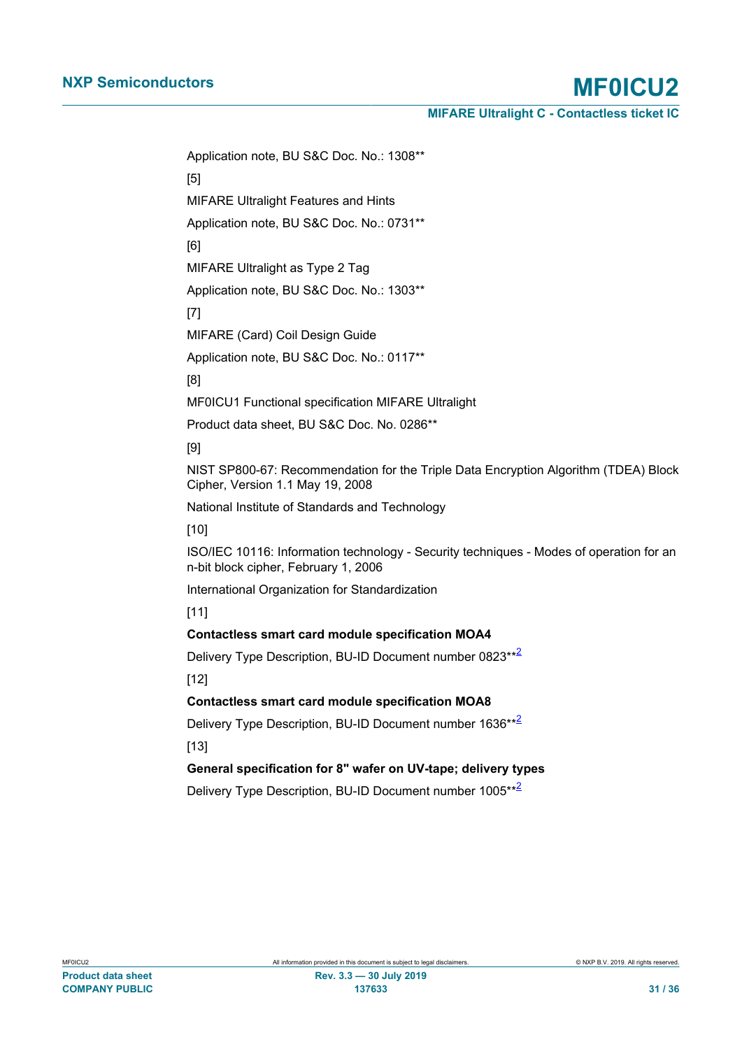Application note, BU S&C Doc. No.: 1308\*\*

[5]

MIFARE Ultralight Features and Hints

Application note, BU S&C Doc. No.: 0731\*\*

[6]

<span id="page-30-1"></span>MIFARE Ultralight as Type 2 Tag

Application note, BU S&C Doc. No.: 1303\*\*

[7]

<span id="page-30-0"></span>MIFARE (Card) Coil Design Guide

Application note, BU S&C Doc. No.: 0117\*\*

[8]

<span id="page-30-2"></span>MF0ICU1 Functional specification MIFARE Ultralight

Product data sheet, BU S&C Doc. No. 0286\*\*

[9]

<span id="page-30-3"></span>NIST SP800-67: Recommendation for the Triple Data Encryption Algorithm (TDEA) Block Cipher, Version 1.1 May 19, 2008

National Institute of Standards and Technology

[10]

<span id="page-30-4"></span>ISO/IEC 10116: Information technology - Security techniques - Modes of operation for an n-bit block cipher, February 1, 2006

International Organization for Standardization

[11]

#### <span id="page-30-5"></span>**Contactless smart card module specification MOA4**

Delivery Type Description, BU-ID Document number 08[2](#page-29-5)3\*\*<sup>2</sup>

[12]

#### <span id="page-30-6"></span>**Contactless smart card module specification MOA8**

Delivery Type Description, BU-ID Document number 1636\*\*<sup>[2](#page-29-5)</sup> [13]

<span id="page-30-7"></span>**General specification for 8" wafer on UV-tape; delivery types**

Delivery Type Description, BU-ID Document number 1005\*\*<sup>[2](#page-29-5)</sup>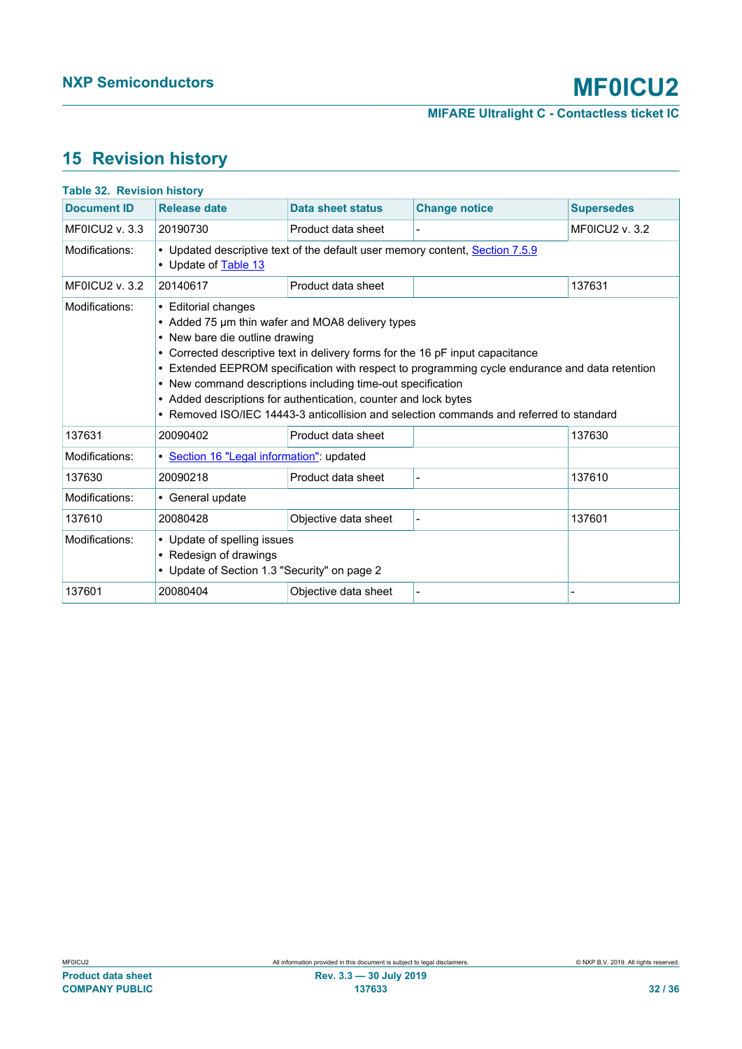# <span id="page-31-1"></span>**15 Revision history**

<span id="page-31-0"></span>

| <b>Table 32. Revision history</b> |                                                                                                                                                                                                                                                                                                                                                                                                                                                                                                                            |                          |                      |                       |
|-----------------------------------|----------------------------------------------------------------------------------------------------------------------------------------------------------------------------------------------------------------------------------------------------------------------------------------------------------------------------------------------------------------------------------------------------------------------------------------------------------------------------------------------------------------------------|--------------------------|----------------------|-----------------------|
| <b>Document ID</b>                | <b>Release date</b>                                                                                                                                                                                                                                                                                                                                                                                                                                                                                                        | <b>Data sheet status</b> | <b>Change notice</b> | <b>Supersedes</b>     |
| MFOICU2 $v. 3.3$                  | 20190730                                                                                                                                                                                                                                                                                                                                                                                                                                                                                                                   | Product data sheet       |                      | <b>MF0ICU2 v. 3.2</b> |
| Modifications:                    | • Updated descriptive text of the default user memory content, Section 7.5.9<br>• Update of Table 13                                                                                                                                                                                                                                                                                                                                                                                                                       |                          |                      |                       |
| <b>MF0ICU2 v. 3.2</b>             | 20140617                                                                                                                                                                                                                                                                                                                                                                                                                                                                                                                   | Product data sheet       |                      | 137631                |
| Modifications:                    | • Editorial changes<br>• Added 75 um thin wafer and MOA8 delivery types<br>• New bare die outline drawing<br>• Corrected descriptive text in delivery forms for the 16 pF input capacitance<br>• Extended EEPROM specification with respect to programming cycle endurance and data retention<br>• New command descriptions including time-out specification<br>• Added descriptions for authentication, counter and lock bytes<br>• Removed ISO/IEC 14443-3 anticollision and selection commands and referred to standard |                          |                      |                       |
| 137631                            | 20090402                                                                                                                                                                                                                                                                                                                                                                                                                                                                                                                   | Product data sheet       |                      | 137630                |
| Modifications:                    | · Section 16 "Legal information": updated                                                                                                                                                                                                                                                                                                                                                                                                                                                                                  |                          |                      |                       |
| 137630                            | 20090218                                                                                                                                                                                                                                                                                                                                                                                                                                                                                                                   | Product data sheet       |                      | 137610                |
| Modifications:                    | • General update                                                                                                                                                                                                                                                                                                                                                                                                                                                                                                           |                          |                      |                       |
| 137610                            | 20080428                                                                                                                                                                                                                                                                                                                                                                                                                                                                                                                   | Objective data sheet     |                      | 137601                |
| Modifications:                    | • Update of spelling issues<br>• Redesign of drawings<br>• Update of Section 1.3 "Security" on page 2                                                                                                                                                                                                                                                                                                                                                                                                                      |                          |                      |                       |
| 137601                            | 20080404                                                                                                                                                                                                                                                                                                                                                                                                                                                                                                                   | Objective data sheet     |                      |                       |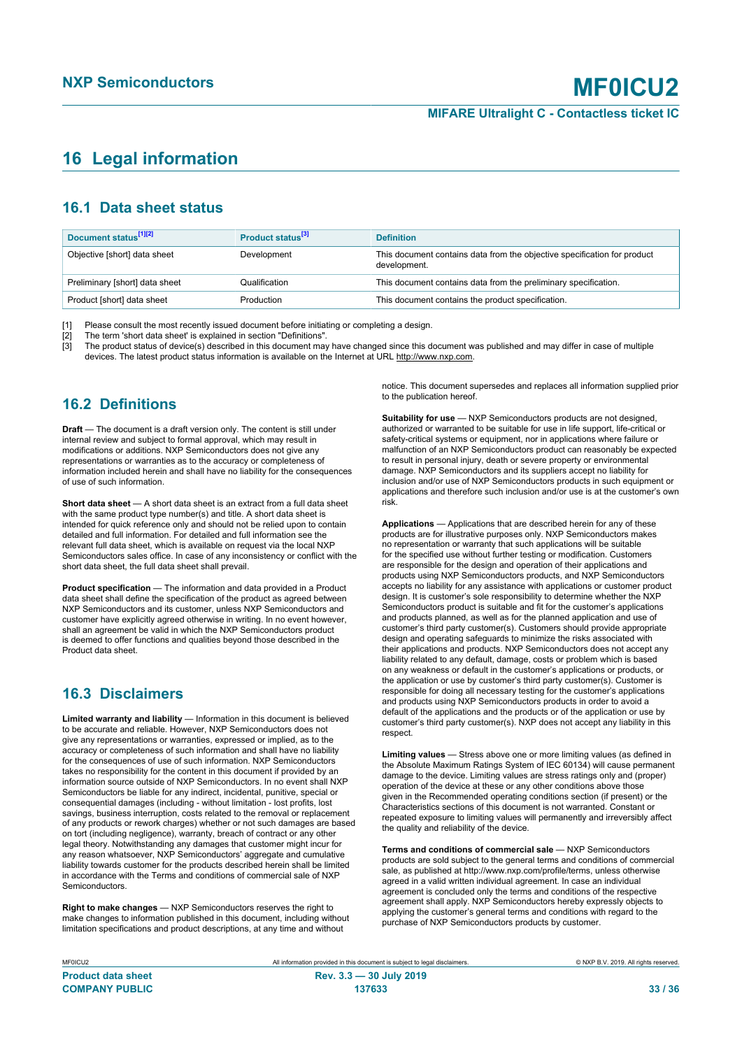# <span id="page-32-0"></span>**16 Legal information**

# **16.1 Data sheet status**

| Document status <sup>[1][2]</sup> | Product status <sup>[3]</sup> | <b>Definition</b>                                                                        |
|-----------------------------------|-------------------------------|------------------------------------------------------------------------------------------|
| Objective [short] data sheet      | Development                   | This document contains data from the objective specification for product<br>development. |
| Preliminary [short] data sheet    | Qualification                 | This document contains data from the preliminary specification.                          |
| Product [short] data sheet        | Production                    | This document contains the product specification.                                        |

[1] Please consult the most recently issued document before initiating or completing a design.<br>[2] The term 'short data sheet' is explained in section "Definitions".

t :<br>[2] The term 'short data sheet' is explained in section "Definitions".<br>[3] The product status of device(s) described in this document may

The product status of device(s) described in this document may have changed since this document was published and may differ in case of multiple devices. The latest product status information is available on the Internet at URL http://www.nxp.com.

# **16.2 Definitions**

**Draft** — The document is a draft version only. The content is still under internal review and subject to formal approval, which may result in modifications or additions. NXP Semiconductors does not give any representations or warranties as to the accuracy or completeness of information included herein and shall have no liability for the consequences of use of such information.

**Short data sheet** — A short data sheet is an extract from a full data sheet with the same product type number(s) and title. A short data sheet is intended for quick reference only and should not be relied upon to contain detailed and full information. For detailed and full information see the relevant full data sheet, which is available on request via the local NXP Semiconductors sales office. In case of any inconsistency or conflict with the short data sheet, the full data sheet shall prevail.

**Product specification** — The information and data provided in a Product data sheet shall define the specification of the product as agreed between NXP Semiconductors and its customer, unless NXP Semiconductors and customer have explicitly agreed otherwise in writing. In no event however, shall an agreement be valid in which the NXP Semiconductors product is deemed to offer functions and qualities beyond those described in the Product data sheet.

# **16.3 Disclaimers**

**Limited warranty and liability** — Information in this document is believed to be accurate and reliable. However, NXP Semiconductors does not give any representations or warranties, expressed or implied, as to the accuracy or completeness of such information and shall have no liability for the consequences of use of such information. NXP Semiconductors takes no responsibility for the content in this document if provided by an information source outside of NXP Semiconductors. In no event shall NXP Semiconductors be liable for any indirect, incidental, punitive, special or consequential damages (including - without limitation - lost profits, lost savings, business interruption, costs related to the removal or replacement of any products or rework charges) whether or not such damages are based on tort (including negligence), warranty, breach of contract or any other legal theory. Notwithstanding any damages that customer might incur for any reason whatsoever, NXP Semiconductors' aggregate and cumulative liability towards customer for the products described herein shall be limited in accordance with the Terms and conditions of commercial sale of NXP **Semiconductors** 

**Right to make changes** — NXP Semiconductors reserves the right to make changes to information published in this document, including without limitation specifications and product descriptions, at any time and without

notice. This document supersedes and replaces all information supplied prior to the publication hereof.

**Suitability for use** — NXP Semiconductors products are not designed, authorized or warranted to be suitable for use in life support, life-critical or safety-critical systems or equipment, nor in applications where failure or malfunction of an NXP Semiconductors product can reasonably be expected to result in personal injury, death or severe property or environmental damage. NXP Semiconductors and its suppliers accept no liability for inclusion and/or use of NXP Semiconductors products in such equipment or applications and therefore such inclusion and/or use is at the customer's own risk.

**Applications** — Applications that are described herein for any of these products are for illustrative purposes only. NXP Semiconductors makes no representation or warranty that such applications will be suitable for the specified use without further testing or modification. Customers are responsible for the design and operation of their applications and products using NXP Semiconductors products, and NXP Semiconductors accepts no liability for any assistance with applications or customer product design. It is customer's sole responsibility to determine whether the NXP Semiconductors product is suitable and fit for the customer's applications and products planned, as well as for the planned application and use of customer's third party customer(s). Customers should provide appropriate design and operating safeguards to minimize the risks associated with their applications and products. NXP Semiconductors does not accept any liability related to any default, damage, costs or problem which is based on any weakness or default in the customer's applications or products, or the application or use by customer's third party customer(s). Customer is responsible for doing all necessary testing for the customer's applications and products using NXP Semiconductors products in order to avoid a default of the applications and the products or of the application or use by customer's third party customer(s). NXP does not accept any liability in this respect.

**Limiting values** — Stress above one or more limiting values (as defined in the Absolute Maximum Ratings System of IEC 60134) will cause permanent damage to the device. Limiting values are stress ratings only and (proper) operation of the device at these or any other conditions above those given in the Recommended operating conditions section (if present) or the Characteristics sections of this document is not warranted. Constant or repeated exposure to limiting values will permanently and irreversibly affect the quality and reliability of the device.

**Terms and conditions of commercial sale** — NXP Semiconductors products are sold subject to the general terms and conditions of commercial sale, as published at http://www.nxp.com/profile/terms, unless otherwise agreed in a valid written individual agreement. In case an individual agreement is concluded only the terms and conditions of the respective agreement shall apply. NXP Semiconductors hereby expressly objects to applying the customer's general terms and conditions with regard to the purchase of NXP Semiconductors products by customer.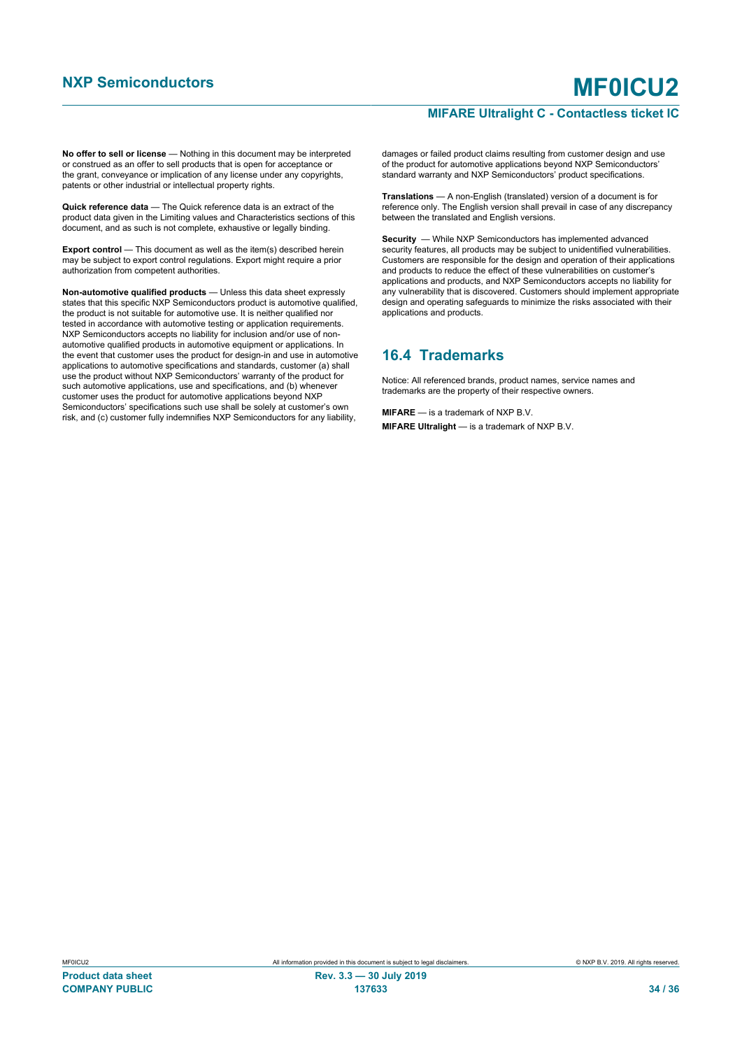### **MIFARE Ultralight C - Contactless ticket IC**

**No offer to sell or license** — Nothing in this document may be interpreted or construed as an offer to sell products that is open for acceptance or the grant, conveyance or implication of any license under any copyrights, patents or other industrial or intellectual property rights.

**Quick reference data** — The Quick reference data is an extract of the product data given in the Limiting values and Characteristics sections of this document, and as such is not complete, exhaustive or legally binding.

**Export control** — This document as well as the item(s) described herein may be subject to export control regulations. Export might require a prior authorization from competent authorities.

**Non-automotive qualified products** — Unless this data sheet expressly states that this specific NXP Semiconductors product is automotive qualified, the product is not suitable for automotive use. It is neither qualified nor tested in accordance with automotive testing or application requirements. NXP Semiconductors accepts no liability for inclusion and/or use of nonautomotive qualified products in automotive equipment or applications. In the event that customer uses the product for design-in and use in automotive applications to automotive specifications and standards, customer (a) shall use the product without NXP Semiconductors' warranty of the product for such automotive applications, use and specifications, and (b) whenever customer uses the product for automotive applications beyond NXP Semiconductors' specifications such use shall be solely at customer's own risk, and (c) customer fully indemnifies NXP Semiconductors for any liability,

damages or failed product claims resulting from customer design and use of the product for automotive applications beyond NXP Semiconductors' standard warranty and NXP Semiconductors' product specifications.

**Translations** — A non-English (translated) version of a document is for reference only. The English version shall prevail in case of any discrepancy between the translated and English versions.

**Security** — While NXP Semiconductors has implemented advanced security features, all products may be subject to unidentified vulnerabilities. Customers are responsible for the design and operation of their applications and products to reduce the effect of these vulnerabilities on customer's applications and products, and NXP Semiconductors accepts no liability for any vulnerability that is discovered. Customers should implement appropriate design and operating safeguards to minimize the risks associated with their applications and products.

# **16.4 Trademarks**

Notice: All referenced brands, product names, service names and trademarks are the property of their respective owners.

**MIFARE** — is a trademark of NXP B.V. **MIFARE Ultralight** — is a trademark of NXP B.V.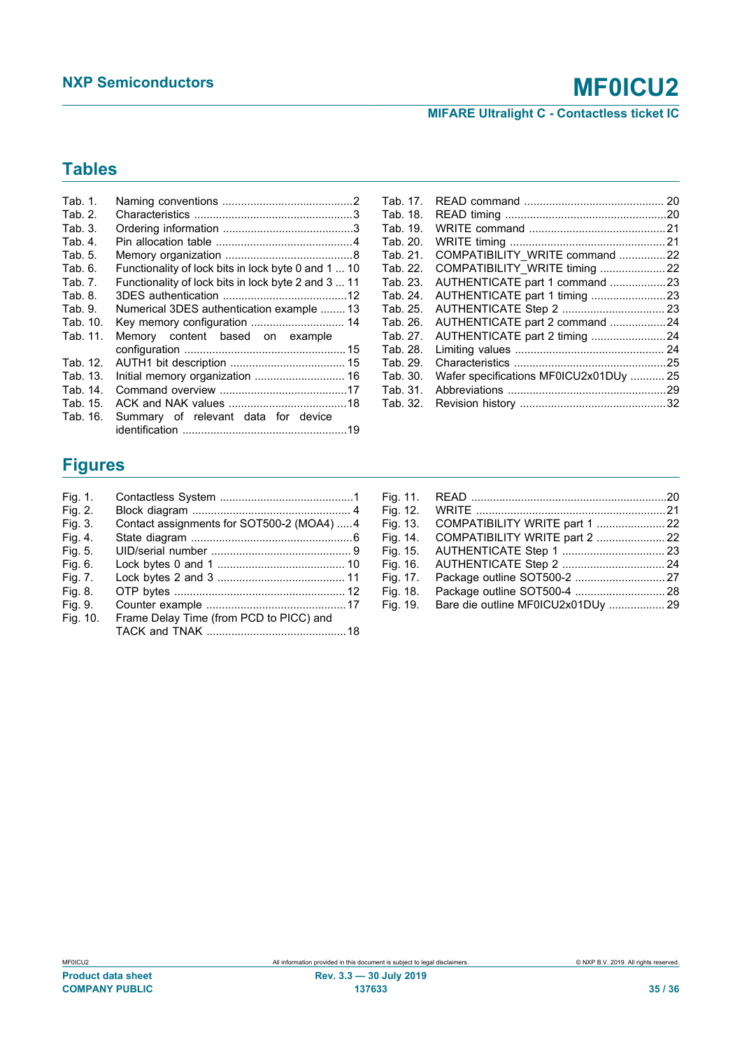# **MIFARE Ultralight C - Contactless ticket IC**

# **Tables**

| Tab. 1.  |                                                     |
|----------|-----------------------------------------------------|
| Tab.2.   |                                                     |
| Tab. 3.  |                                                     |
| Tab. 4.  |                                                     |
| Tab. 5.  |                                                     |
| Tab 6.   | Functionality of lock bits in lock byte 0 and 1  10 |
| Tab. 7.  | Functionality of lock bits in lock byte 2 and 3  11 |
| Tab 8.   |                                                     |
| Tab. 9.  | Numerical 3DES authentication example  13           |
| Tab. 10. | Key memory configuration  14                        |
| Tab. 11. | Memory content based on example                     |
|          |                                                     |
| Tab. 12. |                                                     |
| Tab. 13. | Initial memory organization  16                     |
| Tab. 14. |                                                     |
| Tab. 15. |                                                     |
| Tab. 16. | Summary of relevant data for device                 |
|          |                                                     |

| Tab. 17. |                                        |  |
|----------|----------------------------------------|--|
| Tab. 18. |                                        |  |
| Tab. 19. |                                        |  |
| Tab. 20. |                                        |  |
| Tab. 21. | COMPATIBILITY WRITE command 22         |  |
| Tab. 22. |                                        |  |
| Tab. 23. | AUTHENTICATE part 1 command 23         |  |
| Tab. 24. |                                        |  |
| Tab. 25. |                                        |  |
| Tab. 26. | AUTHENTICATE part 2 command 24         |  |
| Tab. 27. | AUTHENTICATE part 2 timing 24          |  |
| Tab. 28. |                                        |  |
| Tab. 29. |                                        |  |
| Tab. 30. | Wafer specifications MF0ICU2x01DUy  25 |  |
| Tab. 31. |                                        |  |
| Tab. 32. |                                        |  |

# **Figures**

| Fig. 1.  |                                           |  |
|----------|-------------------------------------------|--|
| Fig. 2.  |                                           |  |
| Fig. 3.  | Contact assignments for SOT500-2 (MOA4) 4 |  |
| Fig. 4.  |                                           |  |
| Fig. 5.  |                                           |  |
| Fig. 6.  |                                           |  |
| Fig. 7.  |                                           |  |
| Fig. 8.  |                                           |  |
| Fig. 9.  |                                           |  |
| Fig. 10. | Frame Delay Time (from PCD to PICC) and   |  |
|          |                                           |  |
|          |                                           |  |

| Fig. 11. |                                    |  |
|----------|------------------------------------|--|
| Fig. 12. |                                    |  |
| Fig. 13. | COMPATIBILITY WRITE part 1  22     |  |
| Fig. 14. | COMPATIBILITY WRITE part 2  22     |  |
| Fig. 15. |                                    |  |
| Fig. 16. |                                    |  |
| Fig. 17. |                                    |  |
| Fig. 18. |                                    |  |
| Fig. 19. | Bare die outline MF0ICU2x01DUy  29 |  |
|          |                                    |  |